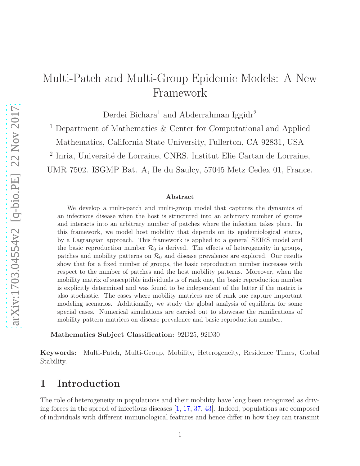# Multi-Patch and Multi-Group Epidemic Models: A New Framework

Derdei Bichara<sup>1</sup> and Abderrahman Iggidr<sup>2</sup>

 $^1$  Department of Mathematics  $\&$  Center for Computational and Applied Mathematics, California State University, Fullerton, CA 92831, USA

<sup>2</sup> Inria, Université de Lorraine, CNRS. Institut Elie Cartan de Lorraine,

UMR 7502. ISGMP Bat. A, Ile du Saulcy, 57045 Metz Cedex 01, France.

#### Abstract

We develop a multi-patch and multi-group model that captures the dynamics of an infectious disease when the host is structured into an arbitrary number of groups and interacts into an arbitrary number of patches where the infection takes place. In this framework, we model host mobility that depends on its epidemiological status, by a Lagrangian approach. This framework is applied to a general SEIRS model and the basic reproduction number  $\mathcal{R}_0$  is derived. The effects of heterogeneity in groups, patches and mobility patterns on  $\mathcal{R}_0$  and disease prevalence are explored. Our results show that for a fixed number of groups, the basic reproduction number increases with respect to the number of patches and the host mobility patterns. Moreover, when the mobility matrix of susceptible individuals is of rank one, the basic reproduction number is explicitly determined and was found to be independent of the latter if the matrix is also stochastic. The cases where mobility matrices are of rank one capture important modeling scenarios. Additionally, we study the global analysis of equilibria for some special cases. Numerical simulations are carried out to showcase the ramifications of mobility pattern matrices on disease prevalence and basic reproduction number.

Mathematics Subject Classification: 92D25, 92D30

Keywords: Multi-Patch, Multi-Group, Mobility, Heterogeneity, Residence Times, Global Stability.

# 1 Introduction

The role of heterogeneity in populations and their mobility have long been recognized as driving forces in the spread of infectious diseases [\[1,](#page-25-0) [17,](#page-26-0) [37,](#page-28-0) [43\]](#page-28-1). Indeed, populations are composed of individuals with different immunological features and hence differ in how they can transmit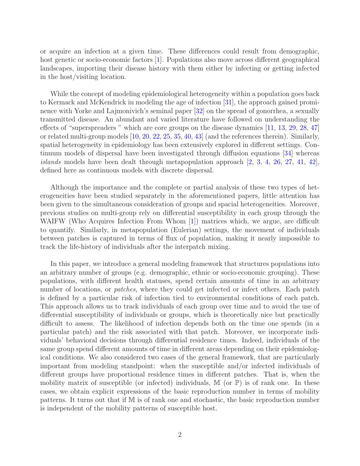or acquire an infection at a given time. These differences could result from demographic, host genetic or socio-economic factors [\[1\]](#page-25-0). Populations also move across different geographical landscapes, importing their disease history with them either by infecting or getting infected in the host/visiting location.

While the concept of modeling epidemiological heterogeneity within a population goes back to Kermack and McKendrick in modeling the age of infection [\[31\]](#page-27-0), the approach gained prominence with Yorke and Lajmonivich's seminal paper [\[32\]](#page-27-1) on the spread of gonorrhea, a sexually transmitted disease. An abundant and varied literature have followed on understanding the effects of "superspreaders " which are core groups on the disease dynamics [\[11,](#page-25-1) [13,](#page-26-1) [29,](#page-27-2) [28,](#page-27-3) [47\]](#page-28-2) or related multi-group models [\[10,](#page-25-2) [20,](#page-26-2) [22,](#page-26-3) [25,](#page-27-4) [35,](#page-27-5) [40,](#page-28-3) [43\]](#page-28-1) (and the references therein). Similarly, spatial heterogeneity in epidemiology has been extensively explored in different settings. Continuum models of dispersal have been investigated through diffusion equations [\[34\]](#page-27-6) whereas *islands* models have been dealt through metapopulation approach  $[2, 3, 4, 26, 27, 41, 42]$  $[2, 3, 4, 26, 27, 41, 42]$  $[2, 3, 4, 26, 27, 41, 42]$  $[2, 3, 4, 26, 27, 41, 42]$  $[2, 3, 4, 26, 27, 41, 42]$  $[2, 3, 4, 26, 27, 41, 42]$  $[2, 3, 4, 26, 27, 41, 42]$  $[2, 3, 4, 26, 27, 41, 42]$  $[2, 3, 4, 26, 27, 41, 42]$  $[2, 3, 4, 26, 27, 41, 42]$  $[2, 3, 4, 26, 27, 41, 42]$  $[2, 3, 4, 26, 27, 41, 42]$ , defined here as continuous models with discrete dispersal.

Although the importance and the complete or partial analysis of these two types of heterogeneities have been studied separately in the aforementioned papers, little attention has been given to the simultaneous consideration of groups and spacial heterogeneities. Moreover, previous studies on multi-group rely on differential susceptibility in each group through the WAIFW (Who Acquires Infection From Whom [\[1\]](#page-25-0)) matrices which, we argue, are difficult to quantify. Similarly, in metapopulation (Eulerian) settings, the movement of individuals between patches is captured in terms of flux of population, making it nearly impossible to track the life-history of individuals after the interpatch mixing.

In this paper, we introduce a general modeling framework that structures populations into an arbitrary number of groups (e.g. demographic, ethnic or socio-economic grouping). These populations, with different health statuses, spend certain amounts of time in an arbitrary number of locations, or *patches*, where they could get infected or infect others. Each patch is defined by a particular risk of infection tied to environmental conditions of each patch. This approach allows us to track individuals of each group over time and to avoid the use of differential susceptibility of individuals or groups, which is theoretically nice but practically difficult to assess. The likelihood of infection depends both on the time one spends (in a particular patch) and the risk associated with that patch. Moreover, we incorporate individuals' behavioral decisions through differential residence times. Indeed, individuals of the same group spend different amounts of time in different areas depending on their epidemiological conditions. We also considered two cases of the general framework, that are particularly important from modeling standpoint: when the susceptible and/or infected individuals of different groups have proportional residence times in different patches. That is, when the mobility matrix of susceptible (or infected) individuals,  $\mathbb M$  (or  $\mathbb P$ ) is of rank one. In these cases, we obtain explicit expressions of the basic reproduction number in terms of mobility patterns. It turns out that if M is of rank one and stochastic, the basic reproduction number is independent of the mobility patterns of susceptible host.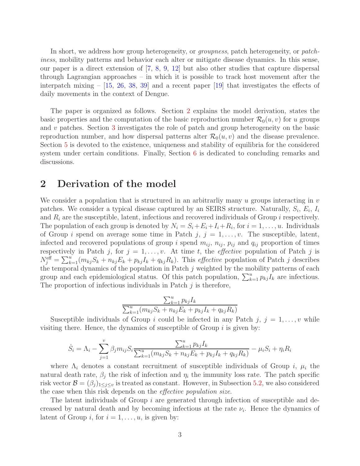In short, we address how group heterogeneity, or groupness, patch heterogeneity, or patchiness, mobility patterns and behavior each alter or mitigate disease dynamics. In this sense, our paper is a direct extension of [\[7,](#page-25-6) [8,](#page-25-7) [9,](#page-25-8) [12\]](#page-26-4) but also other studies that capture dispersal through Lagrangian approaches – in which it is possible to track host movement after the interpatch mixing –  $[15, 26, 38, 39]$  $[15, 26, 38, 39]$  $[15, 26, 38, 39]$  $[15, 26, 38, 39]$  $[15, 26, 38, 39]$  $[15, 26, 38, 39]$  and a recent paper  $[19]$  that investigates the effects of daily movements in the context of Dengue.

The paper is organized as follows. Section [2](#page-2-0) explains the model derivation, states the basic properties and the computation of the basic reproduction number  $\mathcal{R}_0(u, v)$  for u groups and v patches. Section [3](#page-7-0) investigates the role of patch and group heterogeneity on the basic reproduction number, and how dispersal patterns alter  $\mathcal{R}_0(u, v)$  and the disease prevalence. Section [5](#page-18-0) is devoted to the existence, uniqueness and stability of equilibria for the considered system under certain conditions. Finally, Section [6](#page-23-0) is dedicated to concluding remarks and discussions.

## <span id="page-2-0"></span>2 Derivation of the model

We consider a population that is structured in an arbitrarliy many u groups interacting in  $v$ patches. We consider a typical disease captured by an SEIRS structure. Naturally,  $S_i$ ,  $E_i$ ,  $I_i$ and  $R_i$  are the susceptible, latent, infectious and recovered individuals of Group i respectively. The population of each group is denoted by  $N_i = S_i + E_i + I_i + R_i$ , for  $i = 1, ..., u$ . Individuals of Group i spend on average some time in Patch  $j, j = 1, \ldots, v$ . The susceptible, latent, infected and recovered populations of group i spend  $m_{ij}$ ,  $n_{ij}$ ,  $p_{ij}$  and  $q_{ij}$  proportion of times respectively in Patch j, for  $j = 1, \ldots, v$ . At time t, the *effective* population of Patch j is  $N_j^{\text{eff}} = \sum_{k=1}^u (m_{kj}S_k + n_{kj}E_k + p_{kj}I_k + q_{kj}R_k)$ . This *effective* population of Patch j describes the temporal dynamics of the population in Patch  $j$  weighted by the mobility patterns of each group and each epidemiological status. Of this patch population,  $\sum_{k=1}^{u} p_{kj}I_k$  are infectious. The proportion of infectious individuals in Patch  $j$  is therefore,

$$
\frac{\sum_{k=1}^{u} p_{kj} I_k}{\sum_{k=1}^{u} (m_{kj} S_k + n_{kj} E_k + p_{kj} I_k + q_{kj} R_k)}
$$

Susceptible individuals of Group i could be infected in any Patch  $j, j = 1, \ldots, v$  while visiting there. Hence, the dynamics of susceptible of Group  $i$  is given by:

$$
\dot{S}_i = \Lambda_i - \sum_{j=1}^v \beta_j m_{ij} S_i \frac{\sum_{k=1}^u p_{kj} I_k}{\sum_{k=1}^u (m_{kj} S_k + n_{kj} E_k + p_{kj} I_k + q_{kj} R_k)} - \mu_i S_i + \eta_i R_i
$$

where  $\Lambda_i$  denotes a constant recruitment of susceptible individuals of Group i,  $\mu_i$  the natural death rate,  $\beta_j$  the risk of infection and  $\eta_i$  the immunity loss rate. The patch specific risk vector  $\mathcal{B} = (\beta_j)_{1 \leq j \leq v}$  is treated as constant. However, in Subsection [5.2,](#page-20-0) we also considered the case when this risk depends on the effective population size.

The latent individuals of Group i are generated through infection of susceptible and decreased by natural death and by becoming infectious at the rate  $\nu_i$ . Hence the dynamics of latent of Group *i*, for  $i = 1, \ldots, u$ , is given by: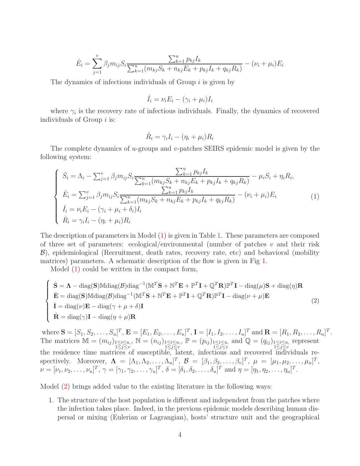$$
\dot{E}_i = \sum_{j=1}^v \beta_j m_{ij} S_i \frac{\sum_{k=1}^u p_{kj} I_k}{\sum_{k=1}^u (m_{kj} S_k + n_{kj} E_k + p_{kj} I_k + q_{kj} R_k)} - (\nu_i + \mu_i) E_i
$$

The dynamics of infectious individuals of Group  $i$  is given by

$$
\dot{I}_i = \nu_i E_i - (\gamma_i + \mu_i) I_i
$$

where  $\gamma_i$  is the recovery rate of infectious individuals. Finally, the dynamics of recovered individuals of Group  $i$  is:

<span id="page-3-1"></span><span id="page-3-0"></span>
$$
\dot{R}_i = \gamma_i I_i - (\eta_i + \mu_i) R_i
$$

The complete dynamics of u-groups and v-patches SEIRS epidemic model is given by the following system:

$$
\begin{cases}\n\dot{S}_i = \Lambda_i - \sum_{j=1}^v \beta_j m_{ij} S_i \frac{\sum_{k=1}^u p_{kj} I_k}{\sum_{k=1}^u (m_{kj} S_k + n_{kj} E_k + p_{kj} I_k + q_{kj} R_k)} - \mu_i S_i + \eta_i R_i, \\
\dot{E}_i = \sum_{j=1}^v \beta_j m_{ij} S_i \frac{\sum_{k=1}^u p_{kj} I_k}{\sum_{k=1}^u (m_{kj} S_k + n_{kj} E_k + p_{kj} I_k + q_{kj} R_k)} - (\nu_i + \mu_i) E_i \\
\dot{I}_i = \nu_i E_i - (\gamma_i + \mu_i + \delta_i) I_i \\
\dot{R}_i = \gamma_i I_i - (\eta_i + \mu_i) R_i\n\end{cases} (1)
$$

The description of parameters in Model [\(1\)](#page-3-0) is given in Table [1.](#page-4-0) These parameters are composed of three set of parameters: ecological/environmental (number of patches  $v$  and their risk B), epidemiological (Recruitment, death rates, recovery rate, etc) and behavioral (mobility matrices) parameters. A schematic description of the flow is given in Fig [1.](#page-5-0)

Model [\(1\)](#page-3-0) could be written in the compact form,

$$
\begin{cases}\n\dot{\mathbf{S}} = \mathbf{\Lambda} - \text{diag}(\mathbf{S}) \mathbb{M} \text{diag}(\mathcal{B}) \text{diag}^{-1} (\mathbb{M}^T \mathbf{S} + \mathbb{N}^T \mathbf{E} + \mathbb{P}^T \mathbf{I} + \mathbb{Q}^T \mathbf{R}) \mathbb{P}^T \mathbf{I} - \text{diag}(\mu) \mathbf{S} + \text{diag}(\eta) \mathbf{R} \\
\dot{\mathbf{E}} = \text{diag}(\mathbf{S}) \mathbb{M} \text{diag}(\mathcal{B}) \text{diag}^{-1} (\mathbb{M}^T \mathbf{S} + \mathbb{N}^T \mathbf{E} + \mathbb{P}^T \mathbf{I} + \mathbb{Q}^T \mathbf{R}) \mathbb{P}^T \mathbf{I} - \text{diag}(\nu + \mu) \mathbf{E} \\
\dot{\mathbf{I}} = \text{diag}(\nu) \mathbf{E} - \text{diag}(\gamma + \mu + \delta) \mathbf{I} \\
\dot{\mathbf{R}} = \text{diag}(\gamma) \mathbf{I} - \text{diag}(\eta + \mu) \mathbf{R}\n\end{cases} (2)
$$

where  $\mathbf{S} = [S_1, S_2, \dots, S_u]^T$ ,  $\mathbf{E} = [E_1, E_2, \dots, E_u]^T$ ,  $\mathbf{I} = [I_1, I_2, \dots, I_u]^T$  and  $\mathbf{R} = [R_1, R_2, \dots, R_u]^T$ . The matrices  $\mathbb{M} = (m_{ij})_{\substack{1 \leq i \leq u, \\ 1 \leq j \leq v}}$ ,  $\mathbb{N} = (n_{ij})_{\substack{1 \leq i \leq u, \\ 1 \leq j \leq v}}$ ,  $\mathbb{P} = (p_{ij})_{\substack{1 \leq i \leq u, \\ 1 \leq j \leq v}}$  and  $\mathbb{Q} = (q_{ij})_{\substack{1 \leq i \leq u, \\ 1 \leq j \leq v}}$  represent the residence time matrices of susceptible, latent, infectious and recovered individuals respectively. Moreover,  $\mathbf{\Lambda} = [\Lambda_1, \Lambda_2, \ldots, \Lambda_u]^T$ ,  $\mathcal{B} = [\beta_1, \beta_2, \ldots, \beta_v]^T$ ,  $\mu = [\mu_1, \mu_2, \ldots, \mu_u]^T$ ,  $\nu = [\nu_1, \nu_2, \dots, \nu_u]^T$ ,  $\gamma = [\gamma_1, \gamma_2, \dots, \gamma_u]^T$ ,  $\delta = [\delta_1, \delta_2, \dots, \delta_u]^T$  and  $\eta = [\eta_1, \eta_2, \dots, \eta_u]^T$ .

Model [\(2\)](#page-3-1) brings added value to the existing literature in the following ways:

1. The structure of the host population is different and independent from the patches where the infection takes place. Indeed, in the previous epidemic models describing human dispersal or mixing (Eulerian or Lagrangian), hosts' structure unit and the geographical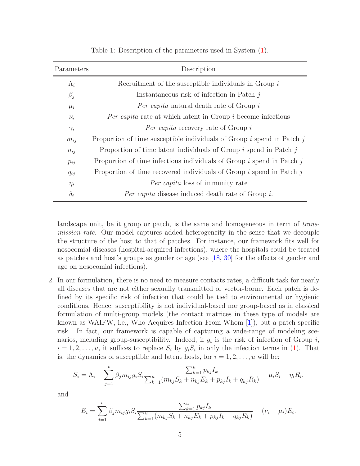<span id="page-4-0"></span>

| Parameters  | Description                                                                |
|-------------|----------------------------------------------------------------------------|
| $\Lambda_i$ | Recruitment of the susceptible individuals in Group $i$                    |
| $\beta_j$   | Instantaneous risk of infection in Patch $j$                               |
| $\mu_i$     | <i>Per capita</i> natural death rate of Group i                            |
| $\nu_i$     | <i>Per capita</i> rate at which latent in Group <i>i</i> become infectious |
| $\gamma_i$  | <i>Per capita</i> recovery rate of Group i                                 |
| $m_{ij}$    | Proportion of time susceptible individuals of Group $i$ spend in Patch $j$ |
| $n_{ij}$    | Proportion of time latent individuals of Group $i$ spend in Patch $j$      |
| $p_{ij}$    | Proportion of time infectious individuals of Group $i$ spend in Patch $j$  |
| $q_{ij}$    | Proportion of time recovered individuals of Group $i$ spend in Patch $j$   |
| $\eta_i$    | <i>Per capita</i> loss of immunity rate                                    |
| $\delta_i$  | <i>Per capita</i> disease induced death rate of Group i.                   |

Table 1: Description of the parameters used in System [\(1\)](#page-3-0).

landscape unit, be it group or patch, is the same and homogeneous in term of transmission rate. Our model captures added heterogeneity in the sense that we decouple the structure of the host to that of patches. For instance, our framework fits well for nosocomial diseases (hospital-acquired infections), where the hospitals could be treated as patches and host's groups as gender or age (see [\[18,](#page-26-7) [30\]](#page-27-9) for the effects of gender and age on nosocomial infections).

2. In our formulation, there is no need to measure contacts rates, a difficult task for nearly all diseases that are not either sexually transmitted or vector-borne. Each patch is defined by its specific risk of infection that could be tied to environmental or hygienic conditions. Hence, susceptibility is not individual-based nor group-based as in classical formulation of multi-group models (the contact matrices in these type of models are known as WAIFW, i.e., Who Acquires Infection From Whom [\[1\]](#page-25-0)), but a patch specific risk. In fact, our framework is capable of capturing a wide-range of modeling scenarios, including group-susceptibility. Indeed, if  $g_i$  is the risk of infection of Group  $i$ ,  $i = 1, 2, \ldots, u$ , it suffices to replace  $S_i$  by  $g_i S_i$  in only the infection terms in [\(1\)](#page-3-0). That is, the dynamics of susceptible and latent hosts, for  $i = 1, 2, \ldots, u$  will be:

$$
\dot{S}_i = \Lambda_i - \sum_{j=1}^v \beta_j m_{ij} g_i S_i \frac{\sum_{k=1}^u p_{kj} I_k}{\sum_{k=1}^u (m_{kj} S_k + n_{kj} E_k + p_{kj} I_k + q_{kj} R_k)} - \mu_i S_i + \eta_i R_i,
$$

and

$$
\dot{E}_i = \sum_{j=1}^v \beta_j m_{ij} g_i S_i \frac{\sum_{k=1}^u p_{kj} I_k}{\sum_{k=1}^u (m_{kj} S_k + n_{kj} E_k + p_{kj} I_k + q_{kj} R_k)} - (\nu_i + \mu_i) E_i.
$$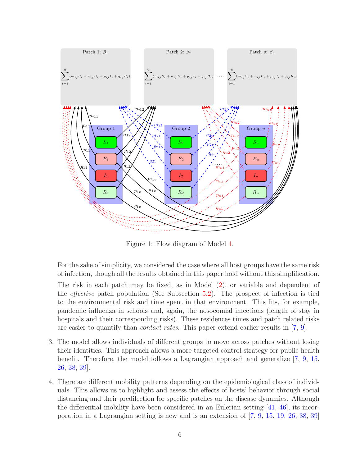<span id="page-5-0"></span>

Figure 1: Flow diagram of Model [1.](#page-3-0)

For the sake of simplicity, we considered the case where all host groups have the same risk of infection, though all the results obtained in this paper hold without this simplification.

The risk in each patch may be fixed, as in Model [\(2\)](#page-3-1), or variable and dependent of the effective patch population (See Subsection [5.2\)](#page-20-0). The prospect of infection is tied to the environmental risk and time spent in that environment. This fits, for example, pandemic influenza in schools and, again, the nosocomial infections (length of stay in hospitals and their corresponding risks). These residences times and patch related risks are easier to quantify than contact rates. This paper extend earlier results in [\[7,](#page-25-6) [9\]](#page-25-8).

- 3. The model allows individuals of different groups to move across patches without losing their identities. This approach allows a more targeted control strategy for public health benefit. Therefore, the model follows a Lagrangian approach and generalize [\[7,](#page-25-6) [9,](#page-25-8) [15,](#page-26-5) [26,](#page-27-7) [38,](#page-28-6) [39\]](#page-28-7).
- 4. There are different mobility patterns depending on the epidemiological class of individuals. This allows us to highlight and assess the effects of hosts' behavior through social distancing and their predilection for specific patches on the disease dynamics. Although the differential mobility have been considered in an Eulerian setting  $[41, 46]$  $[41, 46]$ , its incorporation in a Lagrangian setting is new and is an extension of [\[7,](#page-25-6) [9,](#page-25-8) [15,](#page-26-5) [19,](#page-26-6) [26,](#page-27-7) [38,](#page-28-6) [39\]](#page-28-7)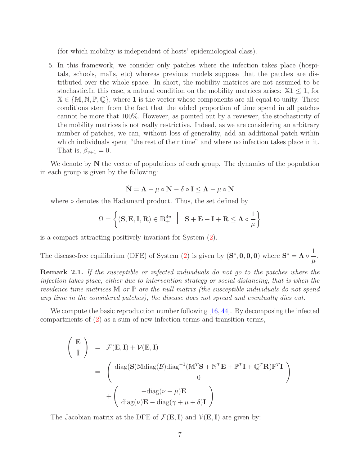(for which mobility is independent of hosts' epidemiological class).

5. In this framework, we consider only patches where the infection takes place (hospitals, schools, malls, etc) whereas previous models suppose that the patches are distributed over the whole space. In short, the mobility matrices are not assumed to be stochastic.In this case, a natural condition on the mobility matrices arises:  $X1 \leq 1$ , for  $\mathbb{X} \in \{ \mathbb{M}, \mathbb{N}, \mathbb{P}, \mathbb{Q} \}$ , where 1 is the vector whose components are all equal to unity. These conditions stem from the fact that the added proportion of time spend in all patches cannot be more that 100%. However, as pointed out by a reviewer, the stochasticity of the mobility matrices is not really restrictive. Indeed, as we are considering an arbitrary number of patches, we can, without loss of generality, add an additional patch within which individuals spent "the rest of their time" and where no infection takes place in it. That is,  $\beta_{v+1} = 0$ .

We denote by  $N$  the vector of populations of each group. The dynamics of the population in each group is given by the following:

$$
\dot{\mathbf{N}} = \mathbf{\Lambda} - \mu \circ \mathbf{N} - \delta \circ \mathbf{I} \le \mathbf{\Lambda} - \mu \circ \mathbf{N}
$$

where ∘ denotes the Hadamard product. Thus, the set defined by

$$
\Omega = \left\{ (\mathbf{S}, \mathbf{E}, \mathbf{I}, \mathbf{R}) \in \mathbb{R}_+^{4u} \middle| \mathbf{S} + \mathbf{E} + \mathbf{I} + \mathbf{R} \le \mathbf{\Lambda} \circ \frac{1}{\mu} \right\}
$$

is a compact attracting positively invariant for System [\(2\)](#page-3-1).

The disease-free equilibrium (DFE) of System [\(2\)](#page-3-1) is given by  $(S^*, 0, 0, 0)$  where  $S^* = \Lambda \circ \frac{1}{\sigma^2}$  $\frac{1}{\mu}$ .

Remark 2.1. If the susceptible or infected individuals do not go to the patches where the infection takes place, either due to intervention strategy or social distancing, that is when the residence time matrices  $\mathbb M$  or  $\mathbb P$  are the null matrix (the susceptible individuals do not spend any time in the considered patches), the disease does not spread and eventually dies out.

We compute the basic reproduction number following [\[16,](#page-26-8) [44\]](#page-28-9). By decomposing the infected compartments of [\(2\)](#page-3-1) as a sum of new infection terms and transition terms,

$$
\begin{pmatrix}\n\dot{\mathbf{E}} \\
\dot{\mathbf{I}}\n\end{pmatrix} = \mathcal{F}(\mathbf{E}, \mathbf{I}) + \mathcal{V}(\mathbf{E}, \mathbf{I})
$$
\n
$$
= \begin{pmatrix}\n\text{diag}(\mathbf{S}) \text{Mdiag}(\mathcal{B}) \text{diag}^{-1} (\mathbb{M}^T \mathbf{S} + \mathbb{N}^T \mathbf{E} + \mathbb{P}^T \mathbf{I} + \mathbb{Q}^T \mathbf{R}) \mathbb{P}^T \mathbf{I} \\
0\n\end{pmatrix}
$$
\n
$$
+ \begin{pmatrix}\n-\text{diag}(\nu + \mu)\mathbf{E} \\
\text{diag}(\nu)\mathbf{E} - \text{diag}(\gamma + \mu + \delta)\mathbf{I}\n\end{pmatrix}
$$

The Jacobian matrix at the DFE of  $\mathcal{F}(E, I)$  and  $\mathcal{V}(E, I)$  are given by: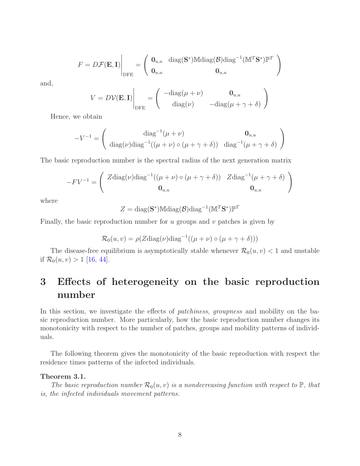$$
F = D\mathcal{F}(\mathbf{E}, \mathbf{I}) \Big|_{\text{DFE}} = \left( \begin{array}{cc} \mathbf{0}_{u,u} & \text{diag}(\mathbf{S}^*) \mathbb{M} \text{diag}(\mathcal{B}) \text{diag}^{-1} (\mathbb{M}^T \mathbf{S}^*) \mathbb{P}^T \\ \mathbf{0}_{u,u} & \mathbf{0}_{u,u} \end{array} \right)
$$

and,

$$
V = D\mathcal{V}(\mathbf{E}, \mathbf{I})\Big|_{\text{DFE}} = \begin{pmatrix} -\text{diag}(\mu + \nu) & \mathbf{0}_{u,u} \\ \text{diag}(\nu) & -\text{diag}(\mu + \gamma + \delta) \end{pmatrix}
$$

Hence, we obtain

$$
-V^{-1} = \begin{pmatrix} \text{diag}^{-1}(\mu + \nu) & \mathbf{0}_{u,u} \\ \text{diag}(\nu)\text{diag}^{-1}((\mu + \nu) \circ (\mu + \gamma + \delta)) & \text{diag}^{-1}(\mu + \gamma + \delta) \end{pmatrix}
$$

The basic reproduction number is the spectral radius of the next generation matrix

$$
-F V^{-1} = \begin{pmatrix} Z \text{diag}(\nu) \text{diag}^{-1}((\mu + \nu) \circ (\mu + \gamma + \delta)) & Z \text{diag}^{-1}(\mu + \gamma + \delta) \\ \mathbf{0}_{u,u} & \mathbf{0}_{u,u} \end{pmatrix}
$$

where

$$
Z = \text{diag}(\mathbf{S}^*) \mathbb{M} \text{diag}(\mathcal{B}) \text{diag}^{-1} (\mathbb{M}^T \mathbf{S}^*) \mathbb{P}^T
$$

Finally, the basic reproduction number for u groups and v patches is given by

$$
\mathcal{R}_0(u, v) = \rho(Z \text{diag}(\nu) \text{diag}^{-1}((\mu + \nu) \circ (\mu + \gamma + \delta)))
$$

The disease-free equilibrium is asymptotically stable whenever  $\mathcal{R}_0(u, v) < 1$  and unstable if  $\mathcal{R}_0(u, v) > 1$  [\[16,](#page-26-8) [44\]](#page-28-9).

# <span id="page-7-0"></span>3 Effects of heterogeneity on the basic reproduction number

In this section, we investigate the effects of *patchiness*, *groupness* and mobility on the basic reproduction number. More particularly, how the basic reproduction number changes its monotonicity with respect to the number of patches, groups and mobility patterns of individuals.

The following theorem gives the monotonicity of the basic reproduction with respect the residence times patterns of the infected individuals.

## <span id="page-7-1"></span>Theorem 3.1.

The basic reproduction number  $\mathcal{R}_0(u, v)$  is a nondecreasing function with respect to  $\mathbb{P}$ , that is, the infected individuals movement patterns.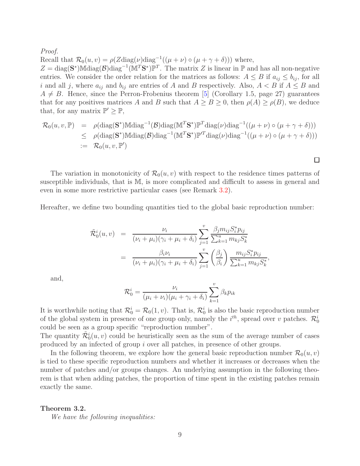Proof.

Recall that  $\mathcal{R}_0(u, v) = \rho(Z \text{diag}(\nu) \text{diag}^{-1}((\mu + \nu) \circ (\mu + \gamma + \delta)))$  where,

 $Z = \text{diag}(\mathbf{S}^*) \text{M} \text{diag}(\mathcal{B}) \text{diag}^{-1} (\mathbf{M}^T \mathbf{S}^*) \mathbb{P}^T$ . The matrix Z is linear in  $\mathbb{P}$  and has all non-negative entries. We consider the order relation for the matrices as follows:  $A \leq B$  if  $a_{ij} \leq b_{ij}$ , for all i and all j, where  $a_{ij}$  and  $b_{ij}$  are entries of A and B respectively. Also,  $A < B$  if  $A \leq B$  and  $A \neq B$ . Hence, since the Perron-Frobenius theorem [\[5\]](#page-25-9) (Corollary 1.5, page 27) guarantees that for any positives matrices A and B such that  $A \geq B \geq 0$ , then  $\rho(A) \geq \rho(B)$ , we deduce that, for any matrix  $\mathbb{P}' \geq \mathbb{P}$ ,

$$
\mathcal{R}_0(u, v, \mathbb{P}) = \rho(\text{diag}(\mathbf{S}^*) \mathbb{M} \text{diag}^{-1}(\mathcal{B}) \text{diag}(\mathbb{M}^T \mathbf{S}^*) \mathbb{P}^T \text{diag}(\nu) \text{diag}^{-1}((\mu + \nu) \circ (\mu + \gamma + \delta)))
$$
  
\n
$$
\leq \rho(\text{diag}(\mathbf{S}^*) \mathbb{M} \text{diag}(\mathcal{B}) \text{diag}^{-1}(\mathbb{M}^T \mathbf{S}^*) \mathbb{P}^T \text{diag}(\nu) \text{diag}^{-1}((\mu + \nu) \circ (\mu + \gamma + \delta)))
$$
  
\n
$$
:= \mathcal{R}_0(u, v, \mathbb{P}')
$$

The variation in monotonicity of  $\mathcal{R}_0(u, v)$  with respect to the residence times patterns of susceptible individuals, that is M, is more complicated and difficult to assess in general and even in some more restrictive particular cases (see Remark [3.2\)](#page-13-0).

□

Hereafter, we define two bounding quantities tied to the global basic reproduction number:

$$
\tilde{\mathcal{R}}_{0}^{i}(u,v) = \frac{\nu_{i}}{(\nu_{i} + \mu_{i})(\gamma_{i} + \mu_{i} + \delta_{i})} \sum_{j=1}^{v} \frac{\beta_{j} m_{ij} S_{i}^{*} p_{ij}}{\sum_{k=1}^{u} m_{kj} S_{k}^{*}}
$$
\n
$$
= \frac{\beta_{i} \nu_{i}}{(\nu_{i} + \mu_{i})(\gamma_{i} + \mu_{i} + \delta_{i})} \sum_{j=1}^{v} \left(\frac{\beta_{j}}{\beta_{i}}\right) \frac{m_{ij} S_{i}^{*} p_{ij}}{\sum_{k=1}^{u} m_{kj} S_{k}^{*}},
$$

and,

$$
\mathcal{R}_0^i = \frac{\nu_i}{(\mu_i + \nu_i)(\mu_i + \gamma_i + \delta_i)} \sum_{k=1}^v \beta_k p_{ik}
$$

It is worthwhile noting that  $\mathcal{R}_0^i = \mathcal{R}_0(1, v)$ . That is,  $\mathcal{R}_0^i$  is also the basic reproduction number of the global system in presence of one group only, namely the  $i^{th}$ , spread over v patches.  $\mathcal{R}_0^i$ could be seen as a group specific "reproduction number".

The quantity  $\tilde{\mathcal{R}}_0^i(u, v)$  could be heuristically seen as the sum of the average number of cases produced by an infected of group i over all patches, in presence of other groups.

In the following theorem, we explore how the general basic reproduction number  $\mathcal{R}_0(u, v)$ is tied to these specific reproduction numbers and whether it increases or decreases when the number of patches and/or groups changes. An underlying assumption in the following theorem is that when adding patches, the proportion of time spent in the existing patches remain exactly the same.

<span id="page-8-0"></span>Theorem 3.2.

We have the following inequalities: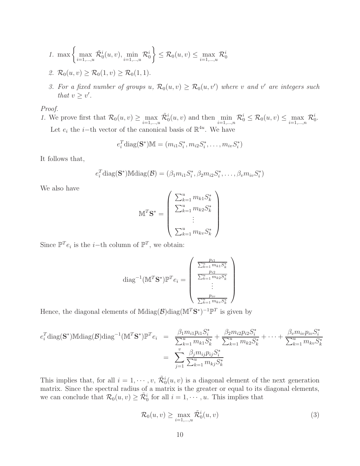1. 
$$
\max \left\{ \max_{i=1,...,u} \tilde{\mathcal{R}}_0^i(u,v), \min_{i=1,...,u} \mathcal{R}_0^i \right\} \leq \mathcal{R}_0(u,v) \leq \max_{i=1,...,u} \mathcal{R}_0^i
$$

- <span id="page-9-1"></span>2.  $\mathcal{R}_0(u, v) \geq \mathcal{R}_0(1, v) \geq \mathcal{R}_0(1, 1).$
- 3. For a fixed number of groups u,  $\mathcal{R}_0(u, v) \geq \mathcal{R}_0(u, v')$  where v and v' are integers such that  $v \geq v'$ .

## Proof.

1. We prove first that  $\mathcal{R}_0(u, v) \ge \max_{i=1,\dots,u} \tilde{\mathcal{R}}_0^i(u, v)$  and then  $\min_{i=1,\dots,n} \mathcal{R}_0^i \le \mathcal{R}_0(u, v) \le \max_{i=1,\dots,n} \mathcal{R}_0^i$ . Let  $e_i$  the *i*−th vector of the canonical basis of  $\mathbb{R}^{4u}$ . We have

$$
e_i^T
$$
diag( $\mathbf{S}^*$ ) $\mathbb{M} = (m_{i1}S_i^*, m_{i2}S_i^*, \dots, m_{iv}S_i^*)$ 

It follows that,

$$
e_i^T \text{diag}(\mathbf{S}^*) \text{Mdiag}(\mathcal{B}) = (\beta_1 m_{i1} S_i^*, \beta_2 m_{i2} S_i^*, \dots, \beta_v m_{iv} S_i^*)
$$

We also have

$$
\mathbb{M}^T \mathbf{S}^* = \begin{pmatrix} \sum_{k=1}^u m_{k1} S_k^* \\ \sum_{k=1}^u m_{k2} S_k^* \\ \vdots \\ \sum_{k=1}^u m_{kv} S_k^* \end{pmatrix}
$$

Since  $\mathbb{P}^T e_i$  is the *i*-th column of  $\mathbb{P}^T$ , we obtain:

diag<sup>-1</sup>(
$$
\mathbb{M}^T
$$
**S**<sup>\*</sup>) $\mathbb{P}^T e_i = \begin{pmatrix} \frac{p_{i1}}{\sum_{k=1}^u m_{k1} S_k^*} \\ \frac{p_{i2}}{\sum_{k=1}^u m_{k2} S_k^*} \\ \vdots \\ \frac{p_{iv}}{\sum_{k=1}^u m_{kv} S_k^*} \end{pmatrix}$ 

Hence, the diagonal elements of  $M \text{diag}(\mathcal{B}) \text{diag}(M^T S^*)^{-1} \mathbb{P}^T$  is given by

$$
e_i^T \text{diag}(\mathbf{S}^*) \text{Mdiag}(\mathcal{B}) \text{diag}^{-1}(\mathbb{M}^T \mathbf{S}^*) \mathbb{P}^T e_i = \frac{\beta_1 m_{i1} p_{i1} S_i^*}{\sum_{k=1}^u m_{k1} S_k^*} + \frac{\beta_2 m_{i2} p_{i2} S_i^*}{\sum_{k=1}^u m_{k2} S_k^*} + \dots + \frac{\beta_v m_{iv} p_{iv} S_i^*}{\sum_{k=1}^u m_{kv} S_k^*}
$$

$$
= \sum_{j=1}^v \frac{\beta_j m_{ij} p_{ij} S_i^*}{\sum_{k=1}^u m_{kj} S_k^*}
$$

This implies that, for all  $i = 1, \dots, v$ ,  $\tilde{\mathcal{R}}_0^i(u, v)$  is a diagonal element of the next generation matrix. Since the spectral radius of a matrix is the greater or equal to its diagonal elements, we can conclude that  $\mathcal{R}_0(u, v) \geq \tilde{\mathcal{R}}_0^i$  for all  $i = 1, \dots, u$ . This implies that

<span id="page-9-0"></span>
$$
\mathcal{R}_0(u,v) \ge \max_{i=1,\dots,u} \tilde{\mathcal{R}}_0^i(u,v) \tag{3}
$$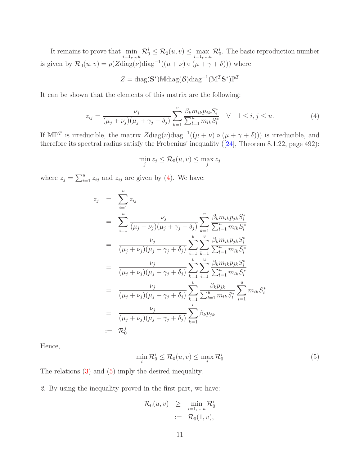It remains to prove that  $\min_{i=1,\dots,u} \mathcal{R}_0^i \leq \mathcal{R}_0(u,v) \leq \max_{i=1,\dots,u} \mathcal{R}_0^i$ . The basic reproduction number is given by  $\mathcal{R}_0(u, v) = \rho(Z \text{diag}(\nu) \text{diag}^{-1}((\mu + \nu) \circ (\mu + \gamma + \delta)))$  where

$$
Z = \text{diag}(\mathbf{S}^*) \mathbb{M} \text{diag}(\mathcal{B}) \text{diag}^{-1} (\mathbb{M}^T \mathbf{S}^*) \mathbb{P}^T
$$

It can be shown that the elements of this matrix are the following:

$$
z_{ij} = \frac{\nu_j}{(\mu_j + \nu_j)(\mu_j + \gamma_j + \delta_j)} \sum_{k=1}^v \frac{\beta_k m_{ik} p_{jk} S_i^*}{\sum_{l=1}^u m_{lk} S_l^*} \quad \forall \quad 1 \le i, j \le u.
$$
 (4)

If  $\mathbb{MP}^T$  is irreducible, the matrix  $Z \text{diag}(\nu) \text{diag}^{-1}((\mu + \nu) \circ (\mu + \gamma + \delta)))$  is irreducible, and therefore its spectral radius satisfy the Frobenius' inequality ([\[24\]](#page-27-10), Theorem 8.1.22, page 492):

<span id="page-10-0"></span>
$$
\min_{j} z_j \le \mathcal{R}_0(u, v) \le \max_{j} z_j
$$

where  $z_j = \sum_{i=1}^u z_{ij}$  and  $z_{ij}$  are given by [\(4\)](#page-10-0). We have:

$$
z_{j} = \sum_{i=1}^{u} z_{ij}
$$
  
\n
$$
= \sum_{i=1}^{u} \frac{\nu_{j}}{(\mu_{j} + \nu_{j})(\mu_{j} + \gamma_{j} + \delta_{j})} \sum_{k=1}^{v} \frac{\beta_{k} m_{ik} p_{jk} S_{i}^{*}}{\sum_{l=1}^{u} m_{lk} S_{l}^{*}}
$$
  
\n
$$
= \frac{\nu_{j}}{(\mu_{j} + \nu_{j})(\mu_{j} + \gamma_{j} + \delta_{j})} \sum_{i=1}^{u} \sum_{k=1}^{v} \frac{\beta_{k} m_{ik} p_{jk} S_{i}^{*}}{\sum_{l=1}^{u} m_{lk} S_{l}^{*}}
$$
  
\n
$$
= \frac{\nu_{j}}{(\mu_{j} + \nu_{j})(\mu_{j} + \gamma_{j} + \delta_{j})} \sum_{k=1}^{v} \sum_{i=1}^{u} \frac{\beta_{k} m_{ik} p_{jk} S_{i}^{*}}{\sum_{l=1}^{u} m_{lk} S_{l}^{*}}
$$
  
\n
$$
= \frac{\nu_{j}}{(\mu_{j} + \nu_{j})(\mu_{j} + \gamma_{j} + \delta_{j})} \sum_{k=1}^{v} \frac{\beta_{k} p_{jk}}{\sum_{l=1}^{u} m_{lk} S_{l}^{*}} \sum_{i=1}^{u} m_{ik} S_{i}^{*}
$$
  
\n
$$
= \frac{\nu_{j}}{(\mu_{j} + \nu_{j})(\mu_{j} + \gamma_{j} + \delta_{j})} \sum_{k=1}^{v} \beta_{k} p_{jk}
$$
  
\n
$$
= \mathcal{R}_{0}^{j}
$$

Hence,

$$
\min_{i} \mathcal{R}_0^i \le \mathcal{R}_0(u, v) \le \max_{i} \mathcal{R}_0^i \tag{5}
$$

The relations [\(3\)](#page-9-0) and [\(5\)](#page-10-1) imply the desired inequality.

2. By using the inequality proved in the first part, we have:

<span id="page-10-1"></span>
$$
\mathcal{R}_0(u, v) \geq \min_{i=1,\dots,u} \mathcal{R}_0^i
$$
  
:=  $\mathcal{R}_0(1, v)$ ,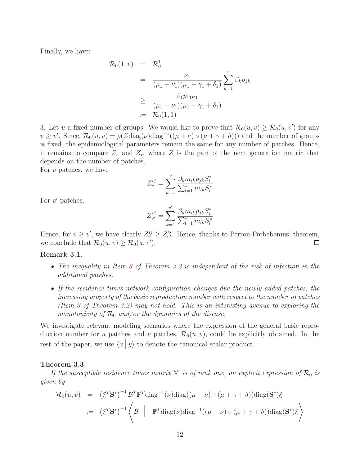Finally, we have:

$$
\mathcal{R}_0(1, v) = \mathcal{R}_0^1
$$
  
= 
$$
\frac{\nu_1}{(\mu_1 + \nu_1)(\mu_1 + \gamma_1 + \delta_1)} \sum_{k=1}^v \beta_k p_{1k}
$$
  

$$
\geq \frac{\beta_1 p_{11} \nu_1}{(\mu_1 + \nu_1)(\mu_1 + \gamma_1 + \delta_1)}
$$
  
:=  $\mathcal{R}_0(1, 1)$ 

3. Let u a fixed number of groups. We would like to prove that  $\mathcal{R}_0(u, v) \geq \mathcal{R}_0(u, v')$  for any  $v \ge v'$ . Since,  $\mathcal{R}_0(u, v) = \rho(Z \text{diag}(\nu) \text{diag}^{-1}((\mu + \nu) \circ (\mu + \gamma + \delta)))$  and the number of groups is fixed, the epidemiological parameters remain the same for any number of patches. Hence, it remains to compare  $Z_v$  and  $Z_{v'}$  where Z is the part of the next generation matrix that depends on the number of patches.

For  $v$  patches, we have

$$
Z_v^{ij} = \sum_{k=1}^v \frac{\beta_k m_{ik} p_{jk} S_i^*}{\sum_{l=1}^u m_{lk} S_l^*}
$$

For  $v'$  patches,

$$
Z_{v'}^{ij} = \sum_{k=1}^{v'} \frac{\beta_k m_{ik} p_{jk} S_i^*}{\sum_{l=1}^u m_{lk} S_l^*}
$$

Hence, for  $v \geq v'$ , we have clearly  $Z_v^{ij} \geq Z_{v'}^{ij}$  $v^j$ . Hence, thanks to Perron-Frobebenius' theorem, we conclude that  $\mathcal{R}_0(u, v) \geq \mathcal{R}_0(u, v')$ . □

## Remark 3.1.

- The inequality in Item [3](#page-9-1) of Theorem [3.2](#page-8-0) is independent of the risk of infection in the additional patches.
- If the residence times network configuration changes due the newly added patches, the increasing property of the basic reproduction number with respect to the number of patches (Item [3](#page-9-1) of Theorem [3.2\)](#page-8-0) may not hold. This is an interesting avenue to exploring the monotonicity of  $\mathcal{R}_0$  and/or the dynamics of the disease.

We investigate relevant modeling scenarios where the expression of the general basic reproduction number for u patches and v patches,  $\mathcal{R}_0(u, v)$ , could be explicitly obtained. In the rest of the paper, we use  $\langle x | y \rangle$  to denote the canonical scalar product.

#### <span id="page-11-0"></span>Theorem 3.3.

If the susceptible residence times matrix  $M$  is of rank one, an explicit expression of  $\mathcal{R}_0$  is given by

$$
\mathcal{R}_0(u, v) = (\xi^T \mathbf{S}^*)^{-1} \mathcal{B}^T \mathbb{P}^T \text{diag}^{-1}(\nu) \text{diag}((\mu + \nu) \circ (\mu + \gamma + \delta)) \text{diag}(\mathbf{S}^*) \xi
$$
  
 :=  $(\xi^T \mathbf{S}^*)^{-1} \left\langle \mathcal{B} \middle| \mathbb{P}^T \text{diag}(\nu) \text{diag}^{-1}((\mu + \nu) \circ (\mu + \gamma + \delta)) \text{diag}(\mathbf{S}^*) \xi \right\rangle$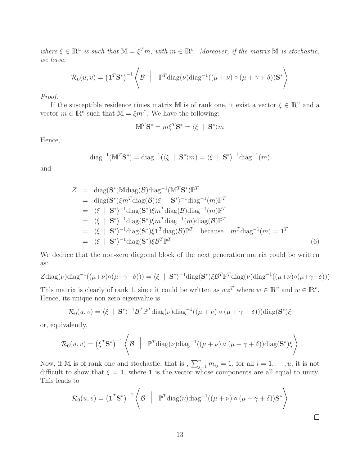where  $\xi \in \mathbb{R}^u$  is such that  $\mathbb{M} = \xi^T m$ , with  $m \in \mathbb{R}^v$ . Moreover, if the matrix  $\mathbb M$  is stochastic, we have:

$$
\mathcal{R}_0(u, v) = \left(\mathbf{1}^T \mathbf{S}^*\right)^{-1} \left\langle \mathcal{B} \mid \mathbb{P}^T \text{diag}(\nu) \text{diag}^{-1}((\mu + \nu) \circ (\mu + \gamma + \delta)) \mathbf{S}^* \right\rangle
$$

Proof.

If the susceptible residence times matrix M is of rank one, it exist a vector  $\xi \in \mathbb{R}^u$  and a vector  $m \in \mathbb{R}^v$  such that  $\mathbb{M} = \xi m^T$ . We have the following:

$$
\mathbb{M}^T \mathbf{S}^* = m \xi^T \mathbf{S}^* = \langle \xi \mid \mathbf{S}^* \rangle m
$$

Hence,

$$
\text{diag}^{-1}(\mathbb{M}^T \mathbf{S}^*) = \text{diag}^{-1}(\langle \xi | \mathbf{S}^* \rangle m) = \langle \xi | \mathbf{S}^* \rangle^{-1} \text{diag}^{-1}(m)
$$

and

$$
Z = \text{diag}(\mathbf{S}^*) \text{Mdiag}(\mathcal{B}) \text{diag}^{-1} (\mathbf{M}^T \mathbf{S}^*) \mathbb{P}^T
$$
  
\n
$$
= \text{diag}(\mathbf{S}^*) \xi m^T \text{diag}(\mathcal{B}) \langle \xi | \mathbf{S}^* \rangle^{-1} \text{diag}^{-1} (m) \mathbb{P}^T
$$
  
\n
$$
= \langle \xi | \mathbf{S}^* \rangle^{-1} \text{diag}(\mathbf{S}^*) \xi m^T \text{diag}(\mathcal{B}) \text{diag}^{-1} (m) \mathbb{P}^T
$$
  
\n
$$
= \langle \xi | \mathbf{S}^* \rangle^{-1} \text{diag}(\mathbf{S}^*) \xi m^T \text{diag}^{-1} (m) \text{diag}(\mathcal{B}) \mathbb{P}^T
$$
  
\n
$$
= \langle \xi | \mathbf{S}^* \rangle^{-1} \text{diag}(\mathbf{S}^*) \xi \mathbf{I}^T \text{diag}(\mathcal{B}) \mathbb{P}^T \text{ because } m^T \text{diag}^{-1} (m) = \mathbf{1}^T
$$
  
\n
$$
= \langle \xi | \mathbf{S}^* \rangle^{-1} \text{diag}(\mathbf{S}^*) \xi \mathcal{B}^T \mathbb{P}^T
$$
  
\n(6)

We deduce that the non-zero diagonal block of the next generation matrix could be written as:

$$
Z \text{diag}(\nu) \text{diag}^{-1}((\mu+\nu) \circ (\mu+\gamma+\delta))) = \langle \xi \mid \mathbf{S}^* \rangle^{-1} \text{diag}(\mathbf{S}^*) \xi \mathbf{B}^T \mathbb{P}^T \text{diag}(\nu) \text{diag}^{-1}((\mu+\nu) \circ (\mu+\gamma+\delta)))
$$

This matrix is clearly of rank 1, since it could be written as  $wz^T$  where  $w \in \mathbb{R}^u$  and  $w \in \mathbb{R}^v$ . Hence, its unique non zero eigenvalue is

$$
\mathcal{R}_0(u, v) = \langle \xi | \mathbf{S}^* \rangle^{-1} \mathcal{B}^T \mathbb{P}^T \text{diag}(\nu) \text{diag}^{-1}((\mu + \nu) \circ (\mu + \gamma + \delta))) \text{diag}(\mathbf{S}^*) \xi
$$

or, equivalently,

$$
\mathcal{R}_0(u, v) = (\xi^T \mathbf{S}^*)^{-1} \left\langle \mathcal{B} \mid \mathbb{P}^T \text{diag}(\nu) \text{diag}^{-1}((\mu + \nu) \circ (\mu + \gamma + \delta)) \text{diag}(\mathbf{S}^*) \xi \right\rangle
$$

Now, if M is of rank one and stochastic, that is,  $\sum_{j=1}^{v} m_{ij} = 1$ , for all  $i = 1, \ldots, u$ , it is not difficult to show that  $\xi = 1$ , where 1 is the vector whose components are all equal to unity. This leads to

$$
\mathcal{R}_0(u,v) = \left(\mathbf{1}^T\mathbf{S}^*\right)^{-1} \left\langle \mathcal{B} \mid \mathbb{P}^T \text{diag}(\nu) \text{diag}^{-1}((\mu+\nu) \circ (\mu+\gamma+\delta))\mathbf{S}^* \right\rangle
$$

 $\Box$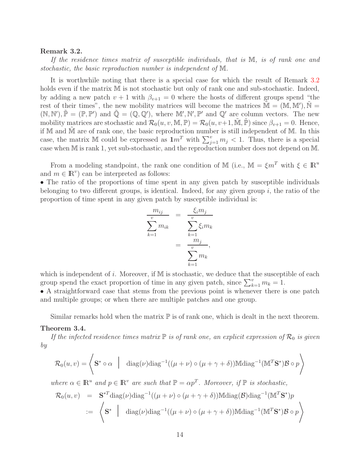### <span id="page-13-0"></span>Remark 3.2.

If the residence times matrix of susceptible individuals, that is M, is of rank one and stochastic, the basic reproduction number is independent of M.

It is worthwhile noting that there is a special case for which the result of Remark [3.2](#page-13-0) holds even if the matrix  $M$  is not stochastic but only of rank one and sub-stochastic. Indeed, by adding a new patch  $v + 1$  with  $\beta_{v+1} = 0$  where the hosts of different groups spend "the rest of their times", the new mobility matrices will become the matrices  $\tilde{M} = (M, M'), \tilde{N} =$  $(\mathbb{N}, \mathbb{N}'), \tilde{\mathbb{P}} = (\mathbb{P}, \mathbb{P}')$  and  $\tilde{\mathbb{Q}} = (\mathbb{Q}, \mathbb{Q}'),$  where  $\mathbb{M}', \mathbb{N}', \mathbb{P}'$  and  $\mathbb{Q}'$  are column vectors. The new mobility matrices are stochastic and  $\mathcal{R}_0(u, v, \mathbb{M}, \mathbb{P}) = \mathcal{R}_0(u, v+1, \tilde{\mathbb{M}}, \tilde{\mathbb{P}})$  since  $\beta_{v+1} = 0$ . Hence, if M and  $\tilde{M}$  are of rank one, the basic reproduction number is still independent of M. In this case, the matrix M could be expressed as  $1m^T$  with  $\sum_{j=1}^v m_j < 1$ . Thus, there is a special case when M is rank 1, yet sub-stochastic, and the reproduction number does not depend on M.

From a modeling standpoint, the rank one condition of M (i.e.,  $\mathbb{M} = \xi m^T$  with  $\xi \in \mathbb{R}^u$ and  $m \in \mathbb{R}^v$  can be interpreted as follows:

• The ratio of the proportions of time spent in any given patch by susceptible individuals belonging to two different groups, is identical. Indeed, for any given group  $i$ , the ratio of the proportion of time spent in any given patch by susceptible individual is:

$$
\frac{m_{ij}}{\sum_{k=1}^{v} m_{ik}} = \frac{\xi_i m_j}{\sum_{k=1}^{v} \xi_i m_k}
$$

$$
= \frac{m_j}{\sum_{k=1}^{v} m_k},
$$

which is independent of i. Moreover, if  $M$  is stochastic, we deduce that the susceptible of each group spend the exact proportion of time in any given patch, since  $\sum_{k=1}^{v} m_k = 1$ .

• A straightforward case that stems from the previous point is whenever there is one patch and multiple groups; or when there are multiple patches and one group.

Similar remarks hold when the matrix  $\mathbb P$  is of rank one, which is dealt in the next theorem.

#### <span id="page-13-1"></span>Theorem 3.4.

If the infected residence times matrix  $\mathbb P$  is of rank one, an explicit expression of  $\mathcal R_0$  is given by

$$
\mathcal{R}_0(u,v) = \left\langle \mathbf{S}^* \circ \alpha \mid \text{diag}(\nu) \text{diag}^{-1}((\mu + \nu) \circ (\mu + \gamma + \delta)) \mathbb{M} \text{diag}^{-1}(\mathbb{M}^T \mathbf{S}^*) \mathcal{B} \circ p \right\rangle
$$

where  $\alpha \in \mathbb{R}^u$  and  $p \in \mathbb{R}^v$  are such that  $\mathbb{P} = \alpha p^T$ . Moreover, if  $\mathbb{P}$  is stochastic,

$$
\mathcal{R}_0(u, v) = \mathbf{S}^{*T} \text{diag}(\nu) \text{diag}^{-1}((\mu + \nu) \circ (\mu + \gamma + \delta)) \text{Mdiag}(\mathcal{B}) \text{diag}^{-1}(\mathbb{M}^T \mathbf{S}^*) p
$$
  
 :=  $\langle \mathbf{S}^* \mid \text{diag}(\nu) \text{diag}^{-1}((\mu + \nu) \circ (\mu + \gamma + \delta)) \text{Mdiag}^{-1}(\mathbb{M}^T \mathbf{S}^*) \mathcal{B} \circ p \rangle$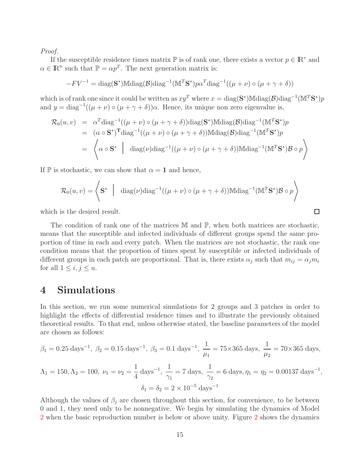Proof.

If the susceptible residence times matrix  $\mathbb P$  is of rank one, there exists a vector  $p \in \mathbb R^v$  and  $\alpha \in \mathbb{R}^u$  such that  $\mathbb{P} = \alpha p^T$ . The next generation matrix is:

$$
-F V^{-1} = \text{diag}(\mathbf{S}^*) \mathbb{M} \text{diag}(\mathcal{B}) \text{diag}^{-1} (\mathbb{M}^T \mathbf{S}^*) p \alpha^T \text{diag}^{-1} ((\mu + \nu) \circ (\mu + \gamma + \delta))
$$

which is of rank one since it could be written as  $xy^T$  where  $x = diag(\mathbf{S}^*)$ Mdiag $(\mathcal{B})$ diag<sup>-1</sup>(M<sup>T</sup>S<sup>\*</sup>)p and  $y = diag^{-1}((\mu + \nu) \circ (\mu + \gamma + \delta))\alpha$ . Hence, its unique non zero eigenvalue is,

$$
\mathcal{R}_0(u, v) = \alpha^T \text{diag}^{-1}((\mu + \nu) \circ (\mu + \gamma + \delta)) \text{diag}(\mathbf{S}^*) \text{Mdiag}(\mathcal{B}) \text{diag}^{-1}(\mathbb{M}^T \mathbf{S}^*) p \n= (\alpha \circ \mathbf{S}^*)^T \text{diag}^{-1}((\mu + \nu) \circ (\mu + \gamma + \delta)) \text{Mdiag}(\mathcal{B}) \text{diag}^{-1}(\mathbb{M}^T \mathbf{S}^*) p \n= \left\langle \alpha \circ \mathbf{S}^* \middle| \text{diag}(\nu) \text{diag}^{-1}((\mu + \nu) \circ (\mu + \gamma + \delta)) \text{Mdiag}^{-1}(\mathbb{M}^T \mathbf{S}^*) \mathcal{B} \circ p \right\rangle
$$

If  $\mathbb P$  is stochastic, we can show that  $\alpha = 1$  and hence,

$$
\mathcal{R}_0(u, v) = \left\langle \mathbf{S}^* \middle| \text{diag}(\nu) \text{diag}^{-1}((\mu + \nu) \circ (\mu + \gamma + \delta)) \text{Mdiag}^{-1}(\mathbb{M}^T \mathbf{S}^*) \mathcal{B} \circ p \right\rangle
$$

which is the desired result.

The condition of rank one of the matrices M and P, when both matrices are stochastic, means that the susceptible and infected individuals of different groups spend the same proportion of time in each and every patch. When the matrices are not stochastic, the rank one condition means that the proportion of times spent by susceptible or infected individuals of different groups in each patch are proportional. That is, there exists  $\alpha_j$  such that  $m_{ij} = \alpha_j m_i$ for all  $1 \leq i, j \leq u$ .

# 4 Simulations

In this section, we run some numerical simulations for 2 groups and 3 patches in order to highlight the effects of differential residence times and to illustrate the previously obtained theoretical results. To that end, unless otherwise stated, the baseline parameters of the model are chosen as follows:

$$
\beta_1 = 0.25 \text{ days}^{-1}
$$
,  $\beta_2 = 0.15 \text{ days}^{-1}$ ,  $\beta_3 = 0.1 \text{ days}^{-1}$ ,  $\frac{1}{\mu_1} = 75 \times 365 \text{ days}$ ,  $\frac{1}{\mu_2} = 70 \times 365 \text{ days}$ ,  
\n $\Lambda_1 = 150, \Lambda_2 = 100, \ \nu_1 = \nu_2 = \frac{1}{4} \text{ days}^{-1}$ ,  $\frac{1}{\gamma_1} = 7 \text{ days}$ ,  $\frac{1}{\gamma_2} = 6 \text{ days}$ ,  $\eta_1 = \eta_2 = 0.00137 \text{ days}^{-1}$ ,  
\n $\delta_1 = \delta_2 = 2 \times 10^{-5} \text{ days}^{-1}$ 

Although the values of  $\beta_j$  are chosen throughout this section, for convenience, to be between 0 and 1, they need only to be nonnegative. We begin by simulating the dynamics of Model [2](#page-3-1) when the basic reproduction number is below or above unity. Figure [2](#page-15-0) shows the dynamics

 $\Box$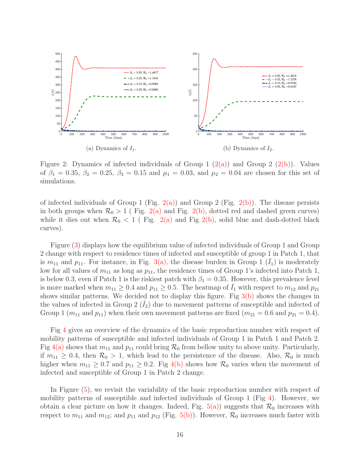<span id="page-15-1"></span><span id="page-15-0"></span>

<span id="page-15-2"></span>Figure 2: Dynamics of infected individuals of Group 1  $(2(a))$  and Group 2  $(2(b))$ . Values of  $\beta_1 = 0.35, \beta_2 = 0.25, \beta_3 = 0.15$  and  $\mu_1 = 0.03$ , and  $\mu_2 = 0.04$  are chosen for this set of simulations.

of infected individuals of Group 1 (Fig. [2\(a\)\)](#page-15-1) and Group 2 (Fig. [2\(b\)\)](#page-15-2). The disease persists in both groups when  $\mathcal{R}_0 > 1$  (Fig. [2\(a\)](#page-15-1) and Fig. [2\(b\),](#page-15-2) dotted red and dashed green curves) while it dies out when  $\mathcal{R}_0 < 1$  (Fig. [2\(a\)](#page-15-1) and Fig [2\(b\),](#page-15-2) solid blue and dash-dotted black curves).

Figure [\(3\)](#page-16-0) displays how the equilibrium value of infected individuals of Group 1 and Group 2 change with respect to residence times of infected and susceptible of group 1 in Patch 1, that is  $m_{11}$  and  $p_{11}$ . For instance, in Fig. [3\(a\),](#page-16-1) the disease burden in Group 1  $(\bar{I}_1)$  is moderately low for all values of  $m_{11}$  as long as  $p_{11}$ , the residence times of Group 1's infected into Patch 1, is below 0.3, even if Patch 1 is the riskiest patch with  $\beta_1 = 0.35$ . However, this prevalence level is more marked when  $m_{11} \geq 0.4$  and  $p_{11} \geq 0.5$ . The heatmap of  $\bar{I}_1$  with respect to  $m_{12}$  and  $p_{21}$ shows similar patterns. We decided not to display this figure. Fig [3\(b\)](#page-16-2) shows the changes in the values of infected in Group  $2(I_2)$  due to movement patterns of susceptible and infected of Group 1 ( $m_{11}$  and  $p_{11}$ ) when their own movement patterns are fixed ( $m_{21} = 0.6$  and  $p_{21} = 0.4$ ).

Fig [4](#page-16-3) gives an overview of the dynamics of the basic reproduction number with respect of mobility patterns of susceptible and infected individuals of Group 1 in Patch 1 and Patch 2. Fig [4\(a\)](#page-16-4) shows that  $m_{11}$  and  $p_{11}$  could bring  $\mathcal{R}_0$  from bellow unity to above unity. Particularly, if  $m_{11} \geq 0.4$ , then  $\mathcal{R}_0 > 1$ , which lead to the persistence of the disease. Also,  $\mathcal{R}_0$  is much higher when  $m_{11} \geq 0.7$  and  $p_{11} \geq 0.2$ . Fig [4\(b\)](#page-16-5) shows how  $\mathcal{R}_0$  varies when the movement of infected and susceptible of Group 1 in Patch 2 change.

In Figure [\(5\)](#page-17-0), we revisit the variability of the basic reproduction number with respect of mobility patterns of susceptible and infected individuals of Group 1 (Fig [4\)](#page-16-3). However, we obtain a clear picture on how it changes. Indeed, Fig.  $5(a)$ ) suggests that  $\mathcal{R}_0$  increases with respect to  $m_{11}$  and  $m_{12}$ ; and  $p_{11}$  and  $p_{12}$  (Fig. [5\(b\)\)](#page-17-2). However,  $\mathcal{R}_0$  increases much faster with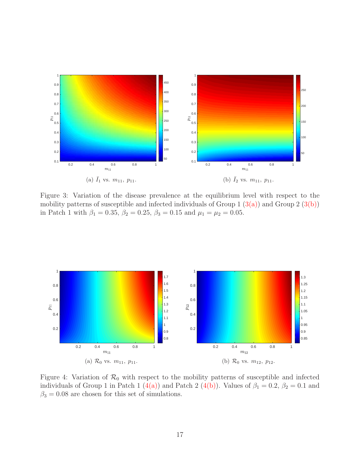<span id="page-16-1"></span><span id="page-16-0"></span>

<span id="page-16-2"></span>Figure 3: Variation of the disease prevalence at the equilibrium level with respect to the mobility patterns of susceptible and infected individuals of Group 1  $(3(a))$  and Group 2  $(3(b))$ in Patch 1 with  $\beta_1 = 0.35$ ,  $\beta_2 = 0.25$ ,  $\beta_3 = 0.15$  and  $\mu_1 = \mu_2 = 0.05$ .

<span id="page-16-4"></span><span id="page-16-3"></span>

<span id="page-16-5"></span>Figure 4: Variation of  $\mathcal{R}_0$  with respect to the mobility patterns of susceptible and infected individuals of Group 1 in Patch 1 [\(4\(a\)\)](#page-16-4) and Patch 2 [\(4\(b\)\)](#page-16-5). Values of  $\beta_1 = 0.2$ ,  $\beta_2 = 0.1$  and  $\beta_3 = 0.08$  are chosen for this set of simulations.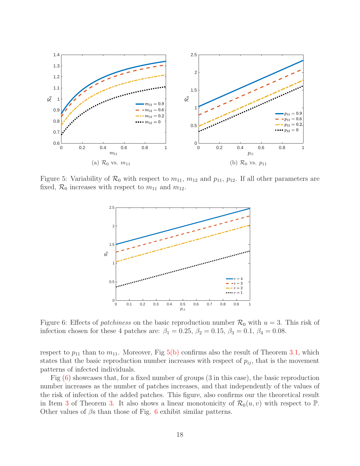<span id="page-17-1"></span><span id="page-17-0"></span>

<span id="page-17-3"></span>Figure 5: Variability of  $\mathcal{R}_0$  with respect to  $m_{11}$ ,  $m_{12}$  and  $p_{11}$ ,  $p_{12}$ . If all other parameters are fixed,  $\mathcal{R}_0$  increases with respect to  $m_{11}$  and  $m_{12}$ .

<span id="page-17-2"></span>

Figure 6: Effects of *patchiness* on the basic reproduction number  $\mathcal{R}_0$  with  $u = 3$ . This risk of infection chosen for these 4 patches are:  $\beta_1 = 0.25$ ,  $\beta_2 = 0.15$ ,  $\beta_3 = 0.1$ ,  $\beta_4 = 0.08$ .

respect to  $p_{11}$  than to  $m_{11}$ . Moreover, Fig [5\(b\)](#page-17-2) confirms also the result of Theorem [3.1,](#page-7-1) which states that the basic reproduction number increases with respect of  $p_{ij}$ , that is the movement patterns of infected individuals.

Fig [\(6\)](#page-17-3) showcases that, for a fixed number of groups (3 in this case), the basic reproduction number increases as the number of patches increases, and that independently of the values of the risk of infection of the added patches. This figure, also confirms our the theoretical result in Item [3](#page-9-1) of Theorem [3.](#page-9-0) It also shows a linear monotonicity of  $\mathcal{R}_0(u, v)$  with respect to  $\mathbb{P}$ . Other values of  $\beta$ s than those of Fig. [6](#page-17-3) exhibit similar patterns.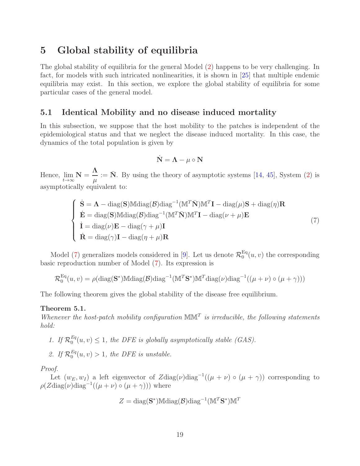## <span id="page-18-0"></span>5 Global stability of equilibria

The global stability of equilibria for the general Model [\(2\)](#page-3-1) happens to be very challenging. In fact, for models with such intricated nonlinearities, it is shown in [\[25\]](#page-27-4) that multiple endemic equilibria may exist. In this section, we explore the global stability of equilibria for some particular cases of the general model.

## 5.1 Identical Mobility and no disease induced mortality

In this subsection, we suppose that the host mobility to the patches is independent of the epidemiological status and that we neglect the disease induced mortality. In this case, the dynamics of the total population is given by

<span id="page-18-1"></span>
$$
\dot{\mathbf{N}} = \mathbf{\Lambda} - \mu \circ \mathbf{N}
$$

Hence,  $\lim_{t\to\infty} \mathbf{N} =$ Λ  $\mu$  $:= \bar{N}$ . By using the theory of asymptotic systems [\[14,](#page-26-9) [45\]](#page-28-10), System [\(2\)](#page-3-1) is asymptotically equivalent to:

$$
\begin{cases}\n\dot{\mathbf{S}} = \mathbf{\Lambda} - \text{diag}(\mathbf{S}) \mathbb{M} \text{diag}(\mathcal{B}) \text{diag}^{-1} (\mathbf{M}^T \bar{\mathbf{N}}) \mathbf{M}^T \mathbf{I} - \text{diag}(\mu) \mathbf{S} + \text{diag}(\eta) \mathbf{R} \\
\dot{\mathbf{E}} = \text{diag}(\mathbf{S}) \mathbb{M} \text{diag}(\mathcal{B}) \text{diag}^{-1} (\mathbf{M}^T \bar{\mathbf{N}}) \mathbf{M}^T \mathbf{I} - \text{diag}(\nu + \mu) \mathbf{E} \\
\dot{\mathbf{I}} = \text{diag}(\nu) \mathbf{E} - \text{diag}(\gamma + \mu) \mathbf{I} \\
\dot{\mathbf{R}} = \text{diag}(\gamma) \mathbf{I} - \text{diag}(\eta + \mu) \mathbf{R}\n\end{cases} (7)
$$

Model [\(7\)](#page-18-1) generalizes models considered in [\[9\]](#page-25-8). Let us denote  $\mathcal{R}^{\text{Eq}}_0$  $b_0^{\text{eq}}(u, v)$  the corresponding basic reproduction number of Model [\(7\)](#page-18-1). Its expression is

$$
\mathcal{R}_0^{\text{Eq}}(u,v) = \rho(\text{diag}(\mathbf{S}^*) \text{Mdiag}(\mathcal{B}) \text{diag}^{-1}(\mathbb{M}^T \mathbf{S}^*) \mathbb{M}^T \text{diag}(\nu) \text{diag}^{-1}((\mu + \nu) \circ (\mu + \gamma)))
$$

The following theorem gives the global stability of the disease free equilibrium.

## <span id="page-18-2"></span>Theorem 5.1.

Whenever the host-patch mobility configuration  $\mathbb{MM}^T$  is irreducible, the following statements hold:

- 1. If  $\mathcal{R}_0^{Eq}$  $L_0^{eq}(u, v) \leq 1$ , the DFE is globally asymptotically stable (GAS).
- 2. If  $\mathcal{R}_0^{Eq}$  $b_0^{eq}(u, v) > 1$ , the DFE is unstable.

Proof.

Let  $(w_E, w_I)$  a left eigenvector of  $Z \text{diag}(\nu) \text{diag}^{-1}((\mu + \nu) \circ (\mu + \gamma))$  corresponding to  $\rho(Z \text{diag}(\nu) \text{diag}^{-1}((\mu + \nu) \circ (\mu + \gamma)))$  where

$$
Z = \text{diag}(\mathbf{S}^*) \mathbb{M} \text{diag}(\mathcal{B}) \text{diag}^{-1} (\mathbb{M}^T \mathbf{S}^*) \mathbb{M}^T
$$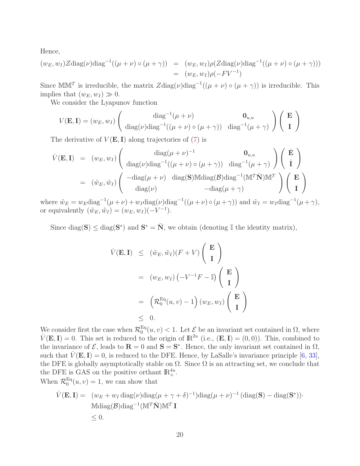Hence,

$$
(w_E, w_I) Z \text{diag}(\nu) \text{diag}^{-1}((\mu + \nu) \circ (\mu + \gamma)) = (w_E, w_I) \rho(Z \text{diag}(\nu) \text{diag}^{-1}((\mu + \nu) \circ (\mu + \gamma)))
$$
  
= 
$$
(w_E, w_I) \rho(-F V^{-1})
$$

Since MM<sup>T</sup> is irreducible, the matrix  $Z \text{diag}(\nu) \text{diag}^{-1}((\mu + \nu) \circ (\mu + \gamma))$  is irreducible. This implies that  $(w_E, w_I) \gg 0$ .

We consider the Lyapunov function

$$
V(\mathbf{E}, \mathbf{I}) = (w_E, w_I) \begin{pmatrix} \text{diag}^{-1}(\mu + \nu) & \mathbf{0}_{u, u} \\ \text{diag}(\nu) \text{diag}^{-1}((\mu + \nu) \circ (\mu + \gamma)) & \text{diag}^{-1}(\mu + \gamma) \end{pmatrix} \begin{pmatrix} \mathbf{E} \\ \mathbf{I} \end{pmatrix}
$$

The derivative of  $V(E, I)$  along trajectories of [\(7\)](#page-18-1) is

$$
\dot{V}(\mathbf{E}, \mathbf{I}) = (w_E, w_I) \begin{pmatrix} \text{diag}(\mu + \nu)^{-1} & \mathbf{0}_{u,u} \\ \text{diag}(\nu) \text{diag}^{-1}((\mu + \nu) \circ (\mu + \gamma)) & \text{diag}^{-1}(\mu + \gamma) \end{pmatrix} \begin{pmatrix} \dot{\mathbf{E}} \\ \dot{\mathbf{I}} \end{pmatrix}
$$
  
=  $(\tilde{w}_E, \tilde{w}_I) \begin{pmatrix} -\text{diag}(\mu + \nu) & \text{diag}(\mathbf{S}) \text{Mdiag}(\mathcal{B}) \text{diag}^{-1}(\mathbb{M}^T \bar{\mathbf{N}}) \mathbb{M}^T \\ \text{diag}(\nu) & -\text{diag}(\mu + \gamma) \end{pmatrix} \begin{pmatrix} \mathbf{E} \\ \mathbf{I} \end{pmatrix}$ 

where  $\tilde{w}_E = w_E \text{diag}^{-1}(\mu + \nu) + w_I \text{diag}(\nu) \text{diag}^{-1}((\mu + \nu) \circ (\mu + \gamma))$  and  $\tilde{w}_I = w_I \text{diag}^{-1}(\mu + \gamma)$ , or equivalently  $(\tilde{w}_E, \tilde{w}_I) = (w_E, w_I)(-V^{-1}).$ 

Since  $\text{diag}(\mathbf{S}) \leq \text{diag}(\mathbf{S}^*)$  and  $\mathbf{S}^* = \bar{\mathbf{N}}$ , we obtain (denoting I the identity matrix),

$$
\dot{V}(\mathbf{E}, \mathbf{I}) \leq (\tilde{w}_E, \tilde{w}_I)(F + V) \begin{pmatrix} \mathbf{E} \\ \mathbf{I} \end{pmatrix}
$$
\n
$$
= (w_E, w_I) (-V^{-1}F - \mathbb{I}) \begin{pmatrix} \mathbf{E} \\ \mathbf{I} \end{pmatrix}
$$
\n
$$
= (\mathcal{R}_0^{Eq}(u, v) - 1) (w_E, w_I) \begin{pmatrix} \mathbf{E} \\ \mathbf{I} \end{pmatrix}
$$
\n
$$
\leq 0.
$$

We consider first the case when  $\mathcal{R}^{\text{Eq}}_0$  $\mathbb{E}_{0}^{\mathsf{q}}(u, v) < 1$ . Let  $\mathcal{E}$  be an invariant set contained in  $\Omega$ , where  $\dot{V}(\mathbf{E}, \mathbf{I}) = 0$ . This set is reduced to the origin of  $\mathbb{R}^{2u}$  (i.e.,  $(\mathbf{E}, \mathbf{I}) = (0, 0)$ ). This, combined to the invariance of  $\mathcal{E}$ , leads to  $\mathbf{R} = 0$  and  $\mathbf{S} = \mathbf{S}^*$ . Hence, the only invariant set contained in  $\Omega$ , such that  $V(E, I) = 0$ , is reduced to the DFE. Hence, by LaSalle's invariance principle [\[6,](#page-25-10) [33\]](#page-27-11), the DFE is globally asymptotically stable on  $\Omega$ . Since  $\Omega$  is an attracting set, we conclude that the DFE is GAS on the positive orthant  $\mathbb{R}^{4u}_{+}$ .

When  $\mathcal{R}_0^{\text{Eq}}$  $_0^{\text{Eq}}(u, v) = 1$ , we can show that

$$
\dot{V}(\mathbf{E}, \mathbf{I}) = (w_E + w_I \operatorname{diag}(\nu) \operatorname{diag}(\mu + \gamma + \delta)^{-1}) \operatorname{diag}(\mu + \nu)^{-1} (\operatorname{diag}(\mathbf{S}) - \operatorname{diag}(\mathbf{S}^*))
$$
  
\n
$$
\operatorname{Mdiag}(\mathcal{B}) \operatorname{diag}^{-1}(\mathbb{M}^T \bar{\mathbf{N}}) \mathbb{M}^T \mathbf{I} \leq 0.
$$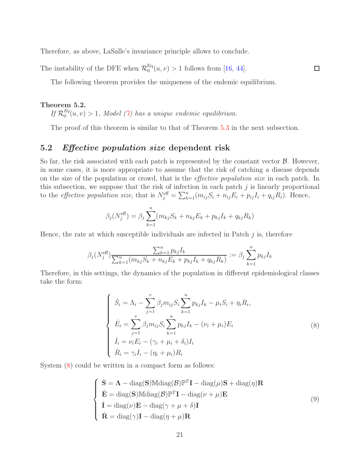Therefore, as above, LaSalle's invariance principle allows to conclude.

The instability of the DFE when  $\mathcal{R}_0^{\text{Eq}}$  $_{0}^{\text{Eq}}(u, v) > 1$  follows from [\[16,](#page-26-8) [44\]](#page-28-9).

The following theorem provides the uniqueness of the endemic equilibrium.

## Theorem 5.2.

If  $\mathcal{R}_0^{Eq}$  $\binom{pq}{0}(u, v) > 1$ , Model [\(7\)](#page-18-1) has a unique endemic equilibrium.

The proof of this theorem is similar to that of Theorem [5.3](#page-22-0) in the next subsection.

 $\Box$ 

## <span id="page-20-0"></span>5.2 Effective population size dependent risk

So far, the risk associated with each patch is represented by the constant vector  $\mathcal{B}$ . However, in some cases, it is more appropriate to assume that the risk of catching a disease depends on the size of the population or crowd, that is the effective population size in each patch. In this subsection, we suppose that the risk of infection in each patch  $j$  is linearly proportional to the *effective population size*, that is  $N_j^{\text{eff}} = \sum_{k=1}^u (m_{ij}S_i + n_{ij}E_i + p_{ij}I_i + q_{ij}R_i)$ . Hence,

$$
\beta_j(N_j^{\text{eff}}) = \beta_j \sum_{k=1}^u (m_{kj} S_k + n_{kj} E_k + p_{kj} I_k + q_{kj} R_k)
$$

Hence, the rate at which susceptible individuals are infected in Patch  $j$  is, therefore

$$
\beta_j(N_j^{\text{eff}}) \frac{\sum_{k=1}^u p_{kj} I_k}{\sum_{k=1}^u (m_{kj} S_k + n_{kj} E_k + p_{kj} I_k + q_{kj} R_k)} := \beta_j \sum_{k=1}^u p_{kj} I_k
$$

Therefore, in this settings, the dynamics of the population in different epidemiological classes take the form:

<span id="page-20-1"></span>
$$
\begin{cases}\n\dot{S}_i = \Lambda_i - \sum_{j=1}^v \beta_j m_{ij} S_i \sum_{k=1}^u p_{kj} I_k - \mu_i S_i + \eta_i R_i, \\
\dot{E}_i = \sum_{j=1}^v \beta_j m_{ij} S_i \sum_{k=1}^u p_{kj} I_k - (\nu_i + \mu_i) E_i \\
\dot{I}_i = \nu_i E_i - (\gamma_i + \mu_i + \delta_i) I_i \\
\dot{R}_i = \gamma_i I_i - (\eta_i + \mu_i) R_i\n\end{cases} (8)
$$

System [\(8\)](#page-20-1) could be written in a compact form as follows:

<span id="page-20-2"></span>
$$
\begin{cases}\n\dot{\mathbf{S}} = \mathbf{\Lambda} - \text{diag}(\mathbf{S}) \mathbb{M} \text{diag}(\mathcal{B}) \mathbb{P}^T \mathbf{I} - \text{diag}(\mu) \mathbf{S} + \text{diag}(\eta) \mathbf{R} \\
\dot{\mathbf{E}} = \text{diag}(\mathbf{S}) \mathbb{M} \text{diag}(\mathcal{B}) \mathbb{P}^T \mathbf{I} - \text{diag}(\nu + \mu) \mathbf{E} \\
\dot{\mathbf{I}} = \text{diag}(\nu) \mathbf{E} - \text{diag}(\gamma + \mu + \delta) \mathbf{I} \\
\dot{\mathbf{R}} = \text{diag}(\gamma) \mathbf{I} - \text{diag}(\eta + \mu) \mathbf{R}\n\end{cases} \tag{9}
$$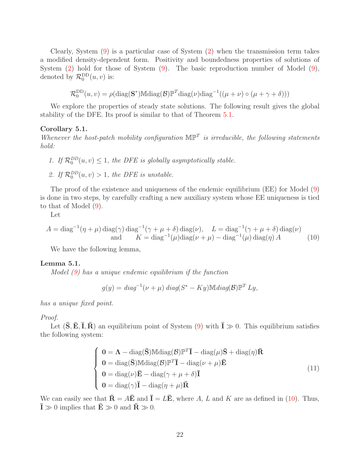Clearly, System [\(9\)](#page-20-2) is a particular case of System [\(2\)](#page-3-1) when the transmission term takes a modified density-dependent form. Positivity and boundedness properties of solutions of System [\(2\)](#page-3-1) hold for those of System [\(9\)](#page-20-2). The basic reproduction number of Model [\(9\)](#page-20-2), denoted by  $\mathcal{R}_0^{\text{DD}}(u, v)$  is:

$$
\mathcal{R}_0^{\text{DD}}(u,v) = \rho(\text{diag}(\mathbf{S}^*) \mathbb{M} \text{diag}(\mathcal{B}) \mathbb{P}^T \text{diag}(\nu) \text{diag}^{-1}((\mu + \nu) \circ (\mu + \gamma + \delta)))
$$

We explore the properties of steady state solutions. The following result gives the global stability of the DFE. Its proof is similar to that of Theorem [5.1.](#page-18-2)

## Corollary 5.1.

Whenever the host-patch mobility configuration  $\mathbb{MP}^T$  is irreducible, the following statements hold:

- 1. If  $\mathcal{R}_0^{DD}(u, v) \leq 1$ , the DFE is globally asymptotically stable.
- 2. If  $\mathcal{R}_0^{DD}(u, v) > 1$ , the DFE is unstable.

The proof of the existence and uniqueness of the endemic equilibrium (EE) for Model [\(9\)](#page-20-2) is done in two steps, by carefully crafting a new auxiliary system whose EE uniqueness is tied to that of Model [\(9\)](#page-20-2).

Let

$$
A = \text{diag}^{-1}(\eta + \mu) \text{diag}(\gamma) \text{diag}^{-1}(\gamma + \mu + \delta) \text{diag}(\nu), \quad L = \text{diag}^{-1}(\gamma + \mu + \delta) \text{diag}(\nu)
$$
  
and 
$$
K = \text{diag}^{-1}(\mu) \text{diag}(\nu + \mu) - \text{diag}^{-1}(\mu) \text{diag}(\eta) A
$$
 (10)

We have the following lemma,

#### <span id="page-21-2"></span>Lemma 5.1.

Model  $(9)$  has a unique endemic equilibrium if the function

<span id="page-21-0"></span>
$$
g(y) = diag^{-1}(\nu + \mu) diag(S^* - Ky) Midiag(\mathcal{B}) \mathbb{P}^T Ly,
$$

has a unique fixed point.

#### Proof.

Let  $(\bar{S}, \bar{E}, \bar{I}, \bar{R})$  an equilibrium point of System [\(9\)](#page-20-2) with  $\bar{I} \gg 0$ . This equilibrium satisfies the following system:

<span id="page-21-1"></span>
$$
\begin{cases}\n\mathbf{0} = \mathbf{\Lambda} - \text{diag}(\bar{\mathbf{S}}) \text{Mdiag}(\mathcal{B}) \mathbb{P}^T \bar{\mathbf{I}} - \text{diag}(\mu) \bar{\mathbf{S}} + \text{diag}(\eta) \bar{\mathbf{R}} \\
\mathbf{0} = \text{diag}(\bar{\mathbf{S}}) \text{Mdiag}(\mathcal{B}) \mathbb{P}^T \bar{\mathbf{I}} - \text{diag}(\nu + \mu) \bar{\mathbf{E}} \\
\mathbf{0} = \text{diag}(\nu) \bar{\mathbf{E}} - \text{diag}(\gamma + \mu + \delta) \bar{\mathbf{I}} \\
\mathbf{0} = \text{diag}(\gamma) \bar{\mathbf{I}} - \text{diag}(\eta + \mu) \bar{\mathbf{R}}\n\end{cases} (11)
$$

We can easily see that  $\bar{\mathbf{R}} = A\bar{\mathbf{E}}$  and  $\bar{\mathbf{I}} = L\bar{\mathbf{E}}$ , where A, L and K are as defined in [\(10\)](#page-21-0). Thus,  $\bar{\mathbf{I}} \gg 0$  implies that  $\bar{\mathbf{E}} \gg 0$  and  $\bar{\mathbf{R}} \gg 0$ .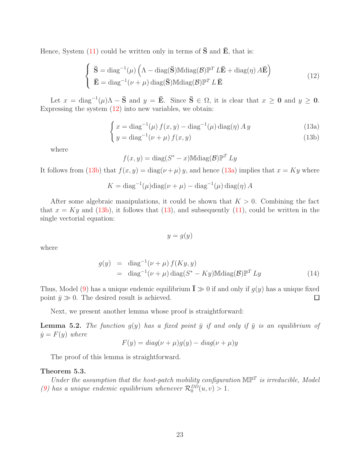Hence, System [\(11\)](#page-21-1) could be written only in terms of  $\bar{S}$  and  $\bar{E}$ , that is:

$$
\begin{cases}\n\bar{\mathbf{S}} = \text{diag}^{-1}(\mu) \left( \Lambda - \text{diag}(\bar{\mathbf{S}}) \mathbb{M} \text{diag}(\mathcal{B}) \mathbb{P}^T L \bar{\mathbf{E}} + \text{diag}(\eta) A \bar{\mathbf{E}} \right) \\
\bar{\mathbf{E}} = \text{diag}^{-1}(\nu + \mu) \text{diag}(\bar{\mathbf{S}}) \mathbb{M} \text{diag}(\mathcal{B}) \mathbb{P}^T L \bar{\mathbf{E}}\n\end{cases}
$$
\n(12)

<span id="page-22-4"></span>Let  $x = diag^{-1}(\mu)\Lambda - \bar{S}$  and  $y = \bar{E}$ . Since  $\bar{S} \in \Omega$ , it is clear that  $x \ge 0$  and  $y \ge 0$ . Expressing the system  $(12)$  into new variables, we obtain:

$$
\int x = \text{diag}^{-1}(\mu) f(x, y) - \text{diag}^{-1}(\mu) \text{diag}(\eta) A y \tag{13a}
$$

$$
\left(y = \text{diag}^{-1}(\nu + \mu) f(x, y)\right) \tag{13b}
$$

where

<span id="page-22-1"></span>
$$
f(x, y) = diag(S^* - x) \text{Mdiag}(\mathcal{B}) \mathbb{P}^T L y
$$

It follows from [\(13b\)](#page-22-2) that  $f(x, y) = diag(\nu + \mu) y$ , and hence [\(13a\)](#page-22-3) implies that  $x = Ky$  where

$$
K = \text{diag}^{-1}(\mu)\text{diag}(\nu + \mu) - \text{diag}^{-1}(\mu)\text{diag}(\eta) A
$$

After some algebraic manipulations, it could be shown that  $K > 0$ . Combining the fact that  $x = Ky$  and [\(13b\)](#page-22-2), it follows that [\(13\)](#page-22-4), and subsequently [\(11\)](#page-21-1), could be written in the single vectorial equation:

<span id="page-22-3"></span><span id="page-22-2"></span>
$$
y = g(y)
$$

where

$$
g(y) = \text{diag}^{-1}(\nu + \mu) f(Ky, y)
$$
  
= diag<sup>-1</sup>(\nu + \mu) diag(S^\* - Ky)Midiag(B) $\mathbb{P}^T$  Ly (14)

Thus, Model [\(9\)](#page-20-2) has a unique endemic equilibrium  $\bar{\mathbf{I}} \gg 0$  if and only if  $g(y)$  has a unique fixed point  $\bar{y} \gg 0$ . The desired result is achieved.  $\Box$ 

Next, we present another lemma whose proof is straightforward:

<span id="page-22-5"></span>**Lemma 5.2.** The function  $g(y)$  has a fixed point  $\bar{y}$  if and only if  $\bar{y}$  is an equilibrium of  $\dot{y} = F(y)$  where

$$
F(y) = diag(\nu + \mu)g(y) - diag(\nu + \mu)y
$$

The proof of this lemma is straightforward.

### <span id="page-22-0"></span>Theorem 5.3.

Under the assumption that the host-patch mobility configuration  $\mathbb{MP}^T$  is irreducible, Model [\(9\)](#page-20-2) has a unique endemic equilibrium whenever  $\mathcal{R}_0^{DD}(u, v) > 1$ .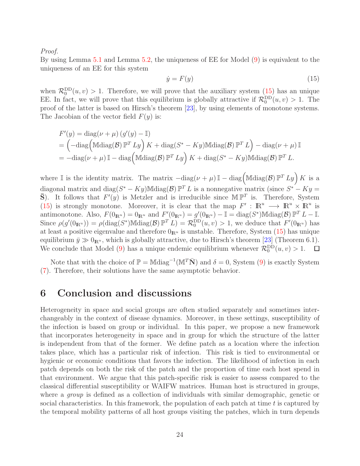Proof.

By using Lemma [5.1](#page-21-2) and Lemma [5.2,](#page-22-5) the uniqueness of EE for Model [\(9\)](#page-20-2) is equivalent to the uniqueness of an EE for this system

<span id="page-23-1"></span>
$$
\dot{y} = F(y) \tag{15}
$$

when  $\mathcal{R}_0^{\text{DD}}(u, v) > 1$ . Therefore, we will prove that the auxiliary system [\(15\)](#page-23-1) has an unique EE. In fact, we will prove that this equilibrium is globally attractive if  $\mathcal{R}_0^{\text{DD}}(u, v) > 1$ . The proof of the latter is based on Hirsch's theorem [\[23\]](#page-26-10), by using elements of monotone systems. The Jacobian of the vector field  $F(y)$  is:

$$
F'(y) = \text{diag}(\nu + \mu) (g'(y) - \mathbb{I})
$$
  
= 
$$
(-\text{diag}(\text{Mdiag}(\mathcal{B}) \mathbb{P}^T L y) K + \text{diag}(S^* - Ky) \text{Mdiag}(\mathcal{B}) \mathbb{P}^T L) - \text{diag}(\nu + \mu) \mathbb{I}
$$
  
= 
$$
-\text{diag}(\nu + \mu) \mathbb{I} - \text{diag}(\text{Mdiag}(\mathcal{B}) \mathbb{P}^T L y) K + \text{diag}(S^* - Ky) \text{Mdiag}(\mathcal{B}) \mathbb{P}^T L.
$$

where I is the identity matrix. The matrix  $-\text{diag}(\nu+\mu) \mathbb{I} - \text{diag}(\text{Mdiag}(\mathcal{B}) \mathbb{P}^T L y) K$  is a diagonal matrix and diag $(S^* - Ky)$ Mdiag $(\mathcal{B}) \mathbb{P}^T L$  is a nonnegative matrix (since  $S^* - Ky =$  $\bar{S}$ ). It follows that  $F'(y)$  is Metzler and is irreducible since  $\mathbb{MP}^T$  is. Therefore, System [\(15\)](#page-23-1) is strongly monotone. Moreover, it is clear that the map  $F' : \mathbb{R}^u \to \mathbb{R}^u \times \mathbb{R}^u$  is antimonotone. Also,  $F(0_{\mathbb{R}^u}) = 0_{\mathbb{R}^u}$  and  $F'(0_{\mathbb{R}^u}) = g'(0_{\mathbb{R}^u}) - \mathbb{I} = \text{diag}(S^*) \mathbb{M} \text{diag}(\mathcal{B}) \mathbb{P}^T L - \mathbb{I}$ . Since  $\rho(g'(0_{\mathbb{R}^u})) = \rho(\text{diag}(S^*) \mathbb{M} \text{diag}(\mathcal{B}) \mathbb{P}^T L) = \mathcal{R}_0^{\text{DD}}(u, v) > 1$ , we deduce that  $F'(0_{\mathbb{R}^u})$  has at least a positive eigenvalue and therefore  $0_{\mathbb{R}^u}$  is unstable. Therefore, System [\(15\)](#page-23-1) has unique equilibrium  $\bar{y} \gg 0_{\mathbb{R}^u}$ , which is globally attractive, due to Hirsch's theorem [\[23\]](#page-26-10) (Theorem 6.1). We conclude that Model [\(9\)](#page-20-2) has a unique endemic equilibrium whenever  $\mathcal{R}_0^{\text{DD}}(u, v) > 1$ .  $\Box$ 

Note that with the choice of  $\mathbb{P} = \text{Mdiag}^{-1}(\mathbb{M}^T\bar{\mathbf{N}})$  and  $\delta = 0$ , System [\(9\)](#page-20-2) is exactly System [\(7\)](#page-18-1). Therefore, their solutions have the same asymptotic behavior.

## <span id="page-23-0"></span>6 Conclusion and discussions

Heterogeneity in space and social groups are often studied separately and sometimes interchangeably in the context of disease dynamics. Moreover, in these settings, susceptibility of the infection is based on group or individual. In this paper, we propose a new framework that incorporates heterogeneity in space and in group for which the structure of the latter is independent from that of the former. We define patch as a location where the infection takes place, which has a particular risk of infection. This risk is tied to environmental or hygienic or economic conditions that favors the infection. The likelihood of infection in each patch depends on both the risk of the patch and the proportion of time each host spend in that environment. We argue that this patch-specific risk is easier to assess compared to the classical differential susceptibility or WAIFW matrices. Human host is structured in groups, where a *group* is defined as a collection of individuals with similar demographic, genetic or social characteristics. In this framework, the population of each patch at time  $t$  is captured by the temporal mobility patterns of all host groups visiting the patches, which in turn depends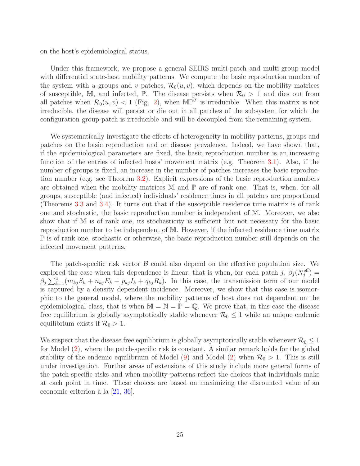on the host's epidemiological status.

Under this framework, we propose a general SEIRS multi-patch and multi-group model with differential state-host mobility patterns. We compute the basic reproduction number of the system with u groups and v patches,  $\mathcal{R}_0(u, v)$ , which depends on the mobility matrices of susceptible, M, and infected, P. The disease persists when  $\mathcal{R}_0 > 1$  and dies out from all patches when  $\mathcal{R}_0(u, v) < 1$  (Fig. [2\)](#page-15-0), when  $\mathbb{MP}^T$  is irreducible. When this matrix is not irreducible, the disease will persist or die out in all patches of the subsystem for which the configuration group-patch is irreducible and will be decoupled from the remaining system.

We systematically investigate the effects of heterogeneity in mobility patterns, groups and patches on the basic reproduction and on disease prevalence. Indeed, we have shown that, if the epidemiological parameters are fixed, the basic reproduction number is an increasing function of the entries of infected hosts' movement matrix (e.g. Theorem [3.1\)](#page-7-1). Also, if the number of groups is fixed, an increase in the number of patches increases the basic reproduction number (e.g. see Theorem [3.2\)](#page-8-0). Explicit expressions of the basic reproduction numbers are obtained when the mobility matrices  $\mathbb M$  and  $\mathbb P$  are of rank one. That is, when, for all groups, susceptible (and infected) individuals' residence times in all patches are proportional (Theorems [3.3](#page-11-0) and [3.4\)](#page-13-1). It turns out that if the susceptible residence time matrix is of rank one and stochastic, the basic reproduction number is independent of M. Moreover, we also show that if M is of rank one, its stochasticity is sufficient but not necessary for the basic reproduction number to be independent of M. However, if the infected residence time matrix P is of rank one, stochastic or otherwise, the basic reproduction number still depends on the infected movement patterns.

The patch-specific risk vector  $\beta$  could also depend on the effective population size. We explored the case when this dependence is linear, that is when, for each patch  $j$ ,  $\beta_j(N_j^{\text{eff}})$  =  $\beta_j \sum_{k=1}^u (m_{kj}S_k + n_{kj}E_k + p_{kj}I_k + q_{kj}R_k)$ . In this case, the transmission term of our model is captured by a density dependent incidence. Moreover, we show that this case is isomorphic to the general model, where the mobility patterns of host does not dependent on the epidemiological class, that is when  $\mathbb{M} = \mathbb{N} = \mathbb{P} = \mathbb{Q}$ . We prove that, in this case the disease free equilibrium is globally asymptotically stable whenever  $\mathcal{R}_0 \leq 1$  while an unique endemic equilibrium exists if  $\mathcal{R}_0 > 1$ .

We suspect that the disease free equilibrium is globally asymptotically stable whenever  $\mathcal{R}_0 \leq 1$ for Model [\(2\)](#page-3-1), where the patch-specific risk is constant. A similar remark holds for the global stability of the endemic equilibrium of Model [\(9\)](#page-20-2) and Model [\(2\)](#page-3-1) when  $\mathcal{R}_0 > 1$ . This is still under investigation. Further areas of extensions of this study include more general forms of the patch-specific risks and when mobility patterns reflect the choices that individuals make at each point in time. These choices are based on maximizing the discounted value of an economic criterion à la  $[21, 36]$  $[21, 36]$ .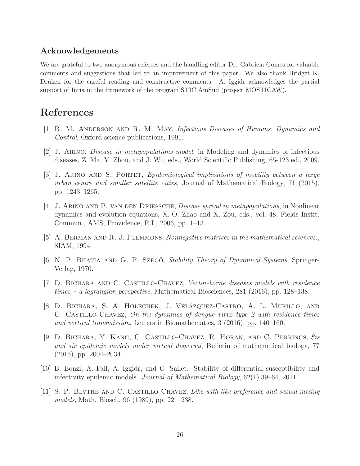## Acknowledgements

We are grateful to two anonymous referees and the handling editor Dr. Gabriela Gomes for valuable comments and suggestions that led to an improvement of this paper. We also thank Bridget K. Druken for the careful reading and constructive comments. A. Iggidr acknowledges the partial support of Inria in the framework of the program STIC AmSud (project MOSTICAW).

# <span id="page-25-0"></span>References

- <span id="page-25-3"></span>[1] R. M. Anderson and R. M. May, Infectious Diseases of Humans. Dynamics and Control, Oxford science publications, 1991.
- <span id="page-25-4"></span>[2] J. Arino, Disease in metapopulations model, in Modeling and dynamics of infectious diseases, Z. Ma, Y. Zhou, and J. Wu, eds., World Scientific Publishing, 65-123 ed., 2009.
- [3] J. Arino and S. Portet, Epidemiological implications of mobility between a large urban centre and smaller satellite cities, Journal of Mathematical Biology, 71 (2015), pp. 1243–1265.
- <span id="page-25-5"></span>[4] J. Arino and P. van den Driessche, Disease spread in metapopulations, in Nonlinear dynamics and evolution equations, X.-O. Zhao and X. Zou, eds., vol. 48, Fields Instit. Commun., AMS, Providence, R.I., 2006, pp. 1–13.
- <span id="page-25-10"></span><span id="page-25-9"></span>[5] A. Berman and R. J. Plemmons, Nonnegative matrices in the mathematical sciences., SIAM, 1994.
- <span id="page-25-6"></span>[6] N. P. BHATIA AND G. P. SZEGÖ, Stability Theory of Dynamical Systems, Springer-Verlag, 1970.
- <span id="page-25-7"></span>[7] D. Bichara and C. Castillo-Chavez, Vector-borne diseases models with residence times – a lagrangian perspective, Mathematical Biosciences, 281 (2016), pp. 128–138.
- [8] D. Bichara, S. A. Holechek, J. Velázquez-Castro, A. L. Murillo, and C. Castillo-Chavez, On the dynamics of dengue virus type 2 with residence times and vertical transmission, Letters in Biomathematics, 3 (2016), pp. 140–160.
- <span id="page-25-8"></span>[9] D. Bichara, Y. Kang, C. Castillo-Chavez, R. Horan, and C. Perrings, Sis and sir epidemic models under virtual dispersal, Bulletin of mathematical biology, 77 (2015), pp. 2004–2034.
- <span id="page-25-2"></span>[10] B. Bonzi, A. Fall, A. Iggidr, and G. Sallet. Stability of differential susceptibility and infectivity epidemic models. Journal of Mathematical Biology, 62(1):39–64, 2011.
- <span id="page-25-1"></span>[11] S. P. Blythe and C. Castillo-Chavez, Like-with-like preference and sexual mixing models, Math. Biosci., 96 (1989), pp. 221–238.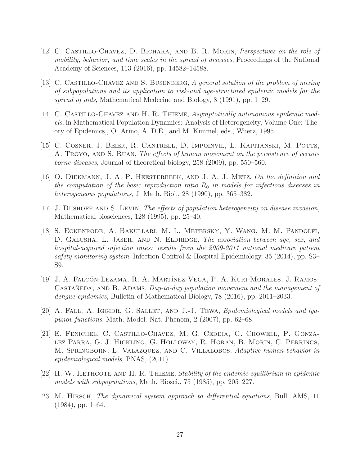- <span id="page-26-4"></span>[12] C. Castillo-Chavez, D. Bichara, and B. R. Morin, Perspectives on the role of mobility, behavior, and time scales in the spread of diseases, Proceedings of the National Academy of Sciences, 113 (2016), pp. 14582–14588.
- <span id="page-26-1"></span>[13] C. Castillo-Chavez and S. Busenberg, A general solution of the problem of mixing of subpopulations and its application to risk-and age-structured epidemic models for the spread of aids, Mathematical Medecine and Biology, 8 (1991), pp. 1–29.
- <span id="page-26-9"></span>[14] C. Castillo-Chavez and H. R. Thieme, Asymptotically autonomous epidemic models, in Mathematical Population Dynamics: Analysis of Heterogeneity, Volume One: Theory of Epidemics,, O. Arino, A. D.E., and M. Kimmel, eds., Wuerz, 1995.
- <span id="page-26-5"></span>[15] C. Cosner, J. Beier, R. Cantrell, D. Impoinvil, L. Kapitanski, M. Potts, A. TROYO, AND S. RUAN, The effects of human movement on the persistence of vectorborne diseases, Journal of theoretical biology, 258 (2009), pp. 550–560.
- <span id="page-26-8"></span>[16] O. Diekmann, J. A. P. Heesterbeek, and J. A. J. Metz, On the definition and the computation of the basic reproduction ratio  $R_0$  in models for infectious diseases in heterogeneous populations, J. Math. Biol., 28 (1990), pp. 365–382.
- <span id="page-26-7"></span><span id="page-26-0"></span>[17] J. Dushoff and S. Levin, The effects of population heterogeneity on disease invasion, Mathematical biosciences, 128 (1995), pp. 25–40.
- [18] S. Eckenrode, A. Bakullari, M. L. Metersky, Y. Wang, M. M. Pandolfi, D. GALUSHA, L. JASER, AND N. ELDRIDGE, The association between age, sex, and hospital-acquired infection rates: results from the 2009-2011 national medicare patient safety monitoring system, Infection Control & Hospital Epidemiology, 35 (2014), pp. S3– S9.
- <span id="page-26-6"></span>[19] J. A. FALCÓN-LEZAMA, R. A. MARTÍNEZ-VEGA, P. A. KURI-MORALES, J. RAMOS-CASTAÑEDA, AND B. ADAMS, Day-to-day population movement and the management of dengue epidemics, Bulletin of Mathematical Biology, 78 (2016), pp. 2011–2033.
- <span id="page-26-2"></span>[20] A. FALL, A. IGGIDR, G. SALLET, AND J.-J. TEWA, *Epidemiological models and lya*punov functions, Math. Model. Nat. Phenom, 2 (2007), pp. 62–68.
- <span id="page-26-11"></span>[21] E. Fenichel, C. Castillo-Chavez, M. G. Ceddia, G. Chowell, P. Gonzalez Parra, G. J. Hickling, G. Holloway, R. Horan, B. Morin, C. Perrings, M. SPRINGBORN, L. VALAZQUEZ, AND C. VILLALOBOS, Adaptive human behavior in epidemiological models, PNAS, (2011).
- <span id="page-26-3"></span>[22] H. W. HETHCOTE AND H. R. THIEME, Stability of the endemic equilibrium in epidemic models with subpopulations, Math. Biosci., 75 (1985), pp. 205–227.
- <span id="page-26-10"></span>[23] M. HIRSCH, The dynamical system approach to differential equations, Bull. AMS, 11  $(1984)$ , pp. 1–64.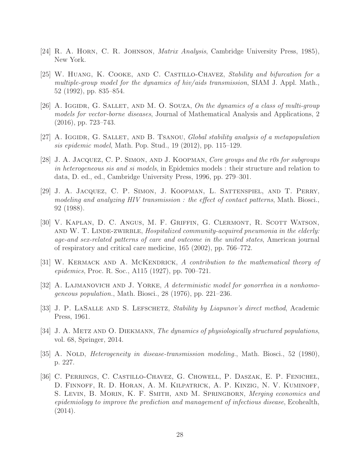- <span id="page-27-10"></span><span id="page-27-4"></span>[24] R. A. Horn, C. R. Johnson, Matrix Analysis, Cambridge University Press, 1985), New York.
- [25] W. Huang, K. Cooke, and C. Castillo-Chavez, Stability and bifurcation for a multiple-group model for the dynamics of hiv/aids transmission, SIAM J. Appl. Math., 52 (1992), pp. 835–854.
- <span id="page-27-7"></span>[26] A. IGGIDR, G. SALLET, AND M. O. SOUZA, On the dynamics of a class of multi-group models for vector-borne diseases, Journal of Mathematical Analysis and Applications, 2 (2016), pp. 723–743.
- <span id="page-27-8"></span><span id="page-27-3"></span>[27] A. IGGIDR, G. SALLET, AND B. TSANOU, Global stability analysis of a metapopulation sis epidemic model, Math. Pop. Stud., 19 (2012), pp. 115–129.
- [28] J. A. Jacquez, C. P. Simon, and J. Koopman, Core groups and the r0s for subgroups in heterogeneous sis and si models, in Epidemics models : their structure and relation to data, D. ed., ed., Cambridge University Press, 1996, pp. 279–301.
- <span id="page-27-2"></span>[29] J. A. Jacquez, C. P. Simon, J. Koopman, L. Sattenspiel, and T. Perry, modeling and analyzing HIV transmission : the effect of contact patterns, Math. Biosci., 92 (1988).
- <span id="page-27-9"></span>[30] V. Kaplan, D. C. Angus, M. F. Griffin, G. Clermont, R. Scott Watson, AND W. T. LINDE-ZWIRBLE, Hospitalized community-acquired pneumonia in the elderly: age-and sex-related patterns of care and outcome in the united states, American journal of respiratory and critical care medicine, 165 (2002), pp. 766–772.
- <span id="page-27-1"></span><span id="page-27-0"></span>[31] W. Kermack and A. McKendrick, A contribution to the mathematical theory of epidemics, Proc. R. Soc., A115 (1927), pp. 700–721.
- <span id="page-27-11"></span>[32] A. LAJMANOVICH AND J. YORKE, A deterministic model for gonorrhea in a nonhomogeneous population., Math. Biosci., 28 (1976), pp. 221–236.
- [33] J. P. LASALLE AND S. LEFSCHETZ, Stability by Liapunov's direct method, Academic Press, 1961.
- <span id="page-27-6"></span>[34] J. A. METZ AND O. DIEKMANN, The dynamics of physiologically structured populations, vol. 68, Springer, 2014.
- <span id="page-27-5"></span>[35] A. NOLD, *Heterogeneity in disease-transmission modeling.*, Math. Biosci., 52 (1980), p. 227.
- <span id="page-27-12"></span>[36] C. Perrings, C. Castillo-Chavez, G. Chowell, P. Daszak, E. P. Fenichel, D. Finnoff, R. D. Horan, A. M. Kilpatrick, A. P. Kinzig, N. V. Kuminoff, S. LEVIN, B. MORIN, K. F. SMITH, AND M. SPRINGBORN, Merging economics and epidemiology to improve the prediction and management of infectious disease, Ecohealth, (2014).